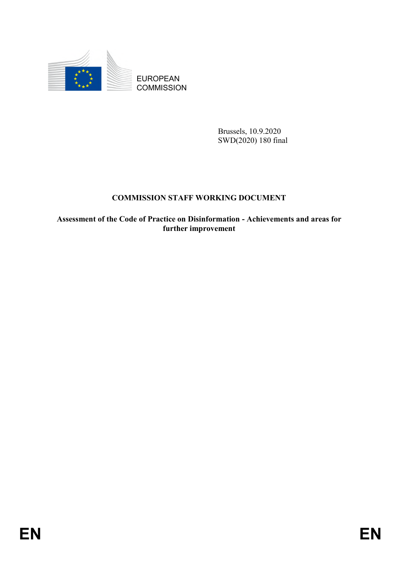

**COMMISSION** 

Brussels, 10.9.2020 SWD(2020) 180 final

### **COMMISSION STAFF WORKING DOCUMENT**

EUROPEAN<br>
EUROPEAN<br>
ENGANGESION<br>
BREASE, 10.9.2020<br>
SW1/21201 180 final<br>
COMMISSION STAFF WORKING DOCUMENT<br>
Assessment of the Cade of Practice on Distribution - Achievements and areas for<br>
further improvement<br>
FR **Assessment of the Code of Practice on Disinformation - Achievements and areas for further improvement**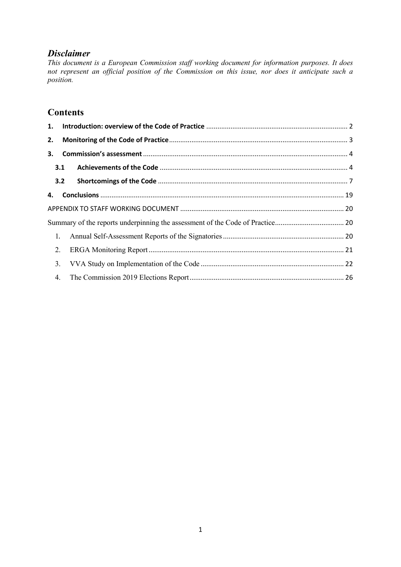## *Disclaimer*

*This document is a European Commission staff working document for information purposes. It does not represent an official position of the Commission on this issue, nor does it anticipate such a position.*

## **Contents**

| 2.             |     |  |  |  |  |  |
|----------------|-----|--|--|--|--|--|
| 3.             |     |  |  |  |  |  |
| 3.1            |     |  |  |  |  |  |
|                | 3.2 |  |  |  |  |  |
| 4.             |     |  |  |  |  |  |
|                |     |  |  |  |  |  |
|                |     |  |  |  |  |  |
|                | 1.  |  |  |  |  |  |
| 2.             |     |  |  |  |  |  |
| 3 <sub>1</sub> |     |  |  |  |  |  |
| 4.             |     |  |  |  |  |  |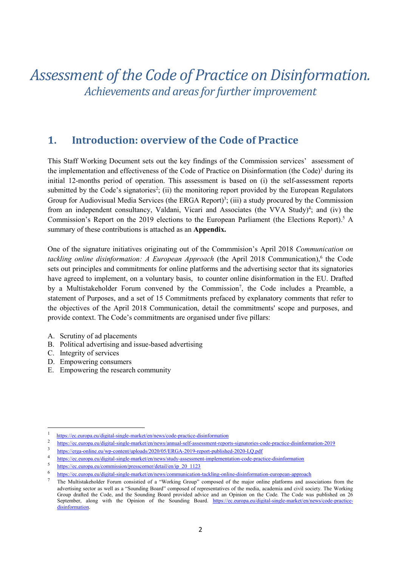# *Assessment of the Code of Practice on Disinformation. Achievements and areas for further improvement*

## <span id="page-2-0"></span>**1. Introduction: overview of the Code of Practice**

This Staff Working Document sets out the key findings of the Commission services' assessment of the implementation and effectiveness of the Code of Practice on Disinformation (the Code)<sup>1</sup> during its initial 12-months period of operation. This assessment is based on (i) the self-assessment reports submitted by the Code's signatories<sup>2</sup>; (ii) the monitoring report provided by the European Regulators Group for Audiovisual Media Services (the ERGA Report)<sup>3</sup>; (iii) a study procured by the Commission from an independent consultancy, Valdani, Vicari and Associates (the VVA Study)<sup>4</sup>; and (iv) the Commission's Report on the 2019 elections to the European Parliament (the Elections Report). <sup>5</sup> A summary of these contributions is attached as an **Appendix.**

One of the signature initiatives originating out of the Commmision's April 2018 *Communication on*  tackling online disinformation: A European Approach (the April 2018 Communication),<sup>6</sup> the Code sets out principles and commitments for online platforms and the advertising sector that its signatories have agreed to implement, on a voluntary basis, to counter online disinformation in the EU. Drafted by a Multistakeholder Forum convened by the Commission<sup>7</sup>, the Code includes a Preamble, a statement of Purposes, and a set of 15 Commitments prefaced by explanatory comments that refer to the objectives of the April 2018 Communication, detail the commitments' scope and purposes, and provide context. The Code's commitments are organised under five pillars:

- A. Scrutiny of ad placements
- B. Political advertising and issue-based advertising
- C. Integrity of services

- D. Empowering consumers
- E. Empowering the research community

<sup>1</sup> <https://ec.europa.eu/digital-single-market/en/news/code-practice-disinformation>

<sup>2</sup> <https://ec.europa.eu/digital-single-market/en/news/annual-self-assessment-reports-signatories-code-practice-disinformation-2019>

<sup>3</sup> <https://erga-online.eu/wp-content/uploads/2020/05/ERGA-2019-report-published-2020-LQ.pdf>

<sup>4</sup> <https://ec.europa.eu/digital-single-market/en/news/study-assessment-implementation-code-practice-disinformation>

<sup>5</sup> [https://ec.europa.eu/commission/presscorner/detail/en/ip\\_20\\_1123](https://ec.europa.eu/commission/presscorner/detail/en/ip_20_1123)

<sup>6</sup> <https://ec.europa.eu/digital-single-market/en/news/communication-tackling-online-disinformation-european-approach>

<sup>7</sup> The Multistakeholder Forum consistied of a "Working Group" composed of the major online platforms and associations from the advertising sector as well as a "Sounding Board" composed of representatives of the media, academia and civil society. The Working Group drafted the Code, and the Sounding Board provided advice and an Opinion on the Code. The Code was published on 26 September, along with the Opinion of the Sounding Board. [https://ec.europa.eu/digital-single-market/en/news/code-practice](https://ec.europa.eu/digital-single-market/en/news/code-practice-disinformation)[disinformation.](https://ec.europa.eu/digital-single-market/en/news/code-practice-disinformation)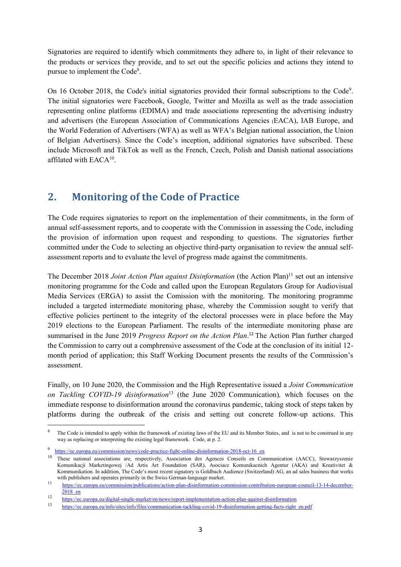Signatories are required to identify which commitments they adhere to, in light of their relevance to the products or services they provide, and to set out the specific policies and actions they intend to pursue to implement the Code<sup>8</sup>.

On 16 October 2018, the Code's initial signatories provided their [formal subscriptions to the Code](https://ec.europa.eu/digital-single-market/en/news/online-platforms-advertisers-and-advertising-industry-present-commissioner-mariya-gabriel)<sup>9</sup>. The initial signatories were Facebook, Google, Twitter and Mozilla as well as the trade association representing online platforms (EDIMA) and trade associations representing the advertising industry and advertisers (the European Association of Communications Agencies (EACA), IAB Europe, and the World Federation of Advertisers (WFA) as well as WFA's Belgian national association, the Union of Belgian Advertisers). Since the Code's inception, additional signatories have subscribed. These include Microsoft and TikTok as well as the French, Czech, Polish and Danish national associations affilated with  $EACA^{10}$ .

## <span id="page-3-0"></span>**2. Monitoring of the Code of Practice**

The Code requires signatories to report on the implementation of their commitments, in the form of annual self-assessment reports, and to cooperate with the Commission in assessing the Code, including the provision of information upon request and responding to questions. The signatories further committed under the Code to selecting an objective third-party organisation to review the annual selfassessment reports and to evaluate the level of progress made against the commitments.

The December 2018 *Joint Action Plan against Disinformation* (the Action Plan)<sup>11</sup> set out an intensive monitoring programme for the Code and called upon the European Regulators Group for Audiovisual Media Services (ERGA) to assist the Comission with the monitoring. The monitoring programme included a targeted intermediate monitoring phase, whereby the Commission sought to verify that effective policies pertinent to the integrity of the electoral processes were in place before the May 2019 elections to the European Parliament. The results of the intermediate monitoring phase are summarised in the June 2019 *Progress Report on the Action Plan*. <sup>12</sup> The Action Plan further charged the Commission to carry out a comphrensive assessment of the Code at the conclusion of its initial 12 month period of application; this Staff Working Document presents the results of the Commission's assessment.

Finally, on 10 June 2020, the Commission and the High Representative issued a *Joint Communication on Tackling COVID-19 disinformation*<sup>13</sup> (the June 2020 Communication)*,* which focuses on the immediate response to disinformation around the coronavirus pandemic, taking stock of steps taken by platforms during the outbreak of the crisis and setting out concrete follow-up actions. This

The Code is intended to apply within the framework of existing laws of the EU and its Member States, and is not to be construed in any way as replacing or interpreting the existing legal framework. Code, at p. 2.

<sup>9</sup> https://ec.europa.eu/commission/news/code-practice-fight-online-disinformation-2018-oct-16\_en

<sup>&</sup>lt;sup>10</sup> These national associations are, respectively, Association des Agences Conseils en Communication (AACC), Stowarzyszenie Komunikacji Marketingowej /Ad Artis Art Foundation (SAR), Asociace Komunikacnich Agentur (AKA) and Kreativitet & Kommunikation. In addition, The Code's most recent signatory is Goldbach Audience (Switzerland) AG, an ad sales business that works with publishers and operates primarily in the Swiss German-language market.

<sup>11</sup> [https://ec.europa.eu/commission/publications/action-plan-disinformation-commission-contribution-european-council-13-14-december-](https://ec.europa.eu/commission/publications/action-plan-disinformation-commission-contribution-european-council-13-14-december-2018_en)[2018\\_en](https://ec.europa.eu/commission/publications/action-plan-disinformation-commission-contribution-european-council-13-14-december-2018_en)

<sup>12</sup> <https://ec.europa.eu/digital-single-market/en/news/report-implementation-action-plan-against-disinformation>

<sup>13</sup> [https://ec.europa.eu/info/sites/info/files/communication-tackling-covid-19-disinformation-getting-facts-right\\_en.pdf](https://ec.europa.eu/info/sites/info/files/communication-tackling-covid-19-disinformation-getting-facts-right_en.pdf)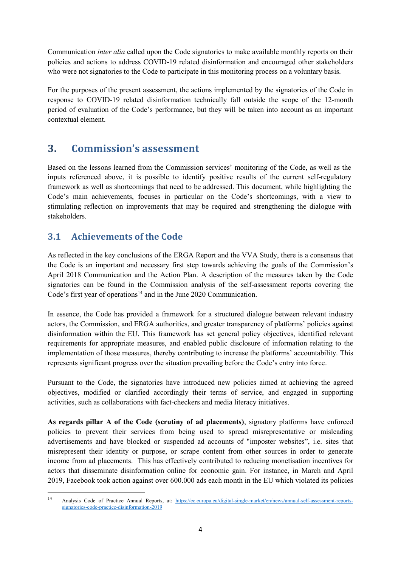Communication *inter alia* called upon the Code signatories to make available monthly reports on their policies and actions to address COVID-19 related disinformation and encouraged other stakeholders who were not signatories to the Code to participate in this monitoring process on a voluntary basis.

For the purposes of the present assessment, the actions implemented by the signatories of the Code in response to COVID-19 related disinformation technically fall outside the scope of the 12-month period of evaluation of the Code's performance, but they will be taken into account as an important contextual element.

## <span id="page-4-0"></span>**3. Commission's assessment**

Based on the lessons learned from the Commission services' monitoring of the Code, as well as the inputs referenced above, it is possible to identify positive results of the current self-regulatory framework as well as shortcomings that need to be addressed. This document, while highlighting the Code's main achievements, focuses in particular on the Code's shortcomings, with a view to stimulating reflection on improvements that may be required and strengthening the dialogue with stakeholders.

## <span id="page-4-1"></span>**3.1 Achievements of the Code**

As reflected in the key conclusions of the ERGA Report and the VVA Study, there is a consensus that the Code is an important and necessary first step towards achieving the goals of the Commission's April 2018 Communication and the Action Plan. A description of the measures taken by the Code signatories can be found in the Commission analysis of the self-assessment reports covering the Code's first year of operations<sup>14</sup> and in the June 2020 Communication.

In essence, the Code has provided a framework for a structured dialogue between relevant industry actors, the Commission, and ERGA authorities, and greater transparency of platforms' policies against disinformation within the EU. This framework has set general policy objectives, identified relevant requirements for appropriate measures, and enabled public disclosure of information relating to the implementation of those measures, thereby contributing to increase the platforms' accountability. This represents significant progress over the situation prevailing before the Code's entry into force.

Pursuant to the Code, the signatories have introduced new policies aimed at achieving the agreed objectives, modified or clarified accordingly their terms of service, and engaged in supporting activities, such as collaborations with fact-checkers and media literacy initiatives.

**As regards pillar A of the Code (scrutiny of ad placements)**, signatory platforms have enforced policies to prevent their services from being used to spread misrepresentative or misleading advertisements and have blocked or suspended ad accounts of "imposter websites", i.e. sites that misrepresent their identity or purpose, or scrape content from other sources in order to generate income from ad placements. This has effectively contributed to reducing monetisation incentives for actors that disseminate disinformation online for economic gain. For instance, in March and April 2019, Facebook took action against over 600.000 ads each month in the EU which violated its policies

 $14$ <sup>14</sup> Analysis Code of Practice Annual Reports, at: [https://ec.europa.eu/digital-single-market/en/news/annual-self-assessment-reports](https://ec.europa.eu/digital-single-market/en/news/annual-self-assessment-reports-signatories-code-practice-disinformation-2019)[signatories-code-practice-disinformation-2019](https://ec.europa.eu/digital-single-market/en/news/annual-self-assessment-reports-signatories-code-practice-disinformation-2019)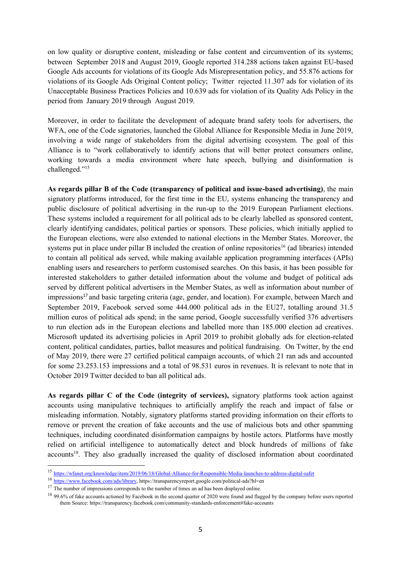on low quality or disruptive content, misleading or false content and circumvention of its systems; between September 2018 and August 2019, Google reported 314.288 actions taken against EU-based Google Ads accounts for violations of its Google Ads Misrepresentation policy, and 55.876 actions for violations of its Google Ads Original Content policy; Twitter rejected 11.307 ads for violation of its Unacceptable Business Practices Policies and 10.639 ads for violation of its Quality Ads Policy in the period from January 2019 through August 2019.

Moreover, in order to facilitate the development of adequate brand safety tools for advertisers, the WFA, one of the Code signatories, launched the Global Alliance for Responsible Media in June 2019, involving a wide range of stakeholders from the digital advertising ecosystem. The goal of this Alliance is to "work collaboratively to identify actions that will better protect consumers online, working towards a media environment where hate speech, bullying and disinformation is challenged."<sup>15</sup>

**As regards pillar B of the Code (transparency of political and issue-based advertising)**, the main signatory platforms introduced, for the first time in the EU, systems enhancing the transparency and public disclosure of political advertising in the run-up to the 2019 European Parliament elections. These systems included a requirement for all political ads to be clearly labelled as sponsored content, clearly identifying candidates, political parties or sponsors. These policies, which initially applied to the European elections, were also extended to national elections in the Member States. Moreover, the systems put in place under pillar B included the creation of online repositories<sup>16</sup> (ad libraries) intended to contain all political ads served, while making available application programming interfaces (APIs) enabling users and researchers to perform customised searches. On this basis, it has been possible for interested stakeholders to gather detailed information about the volume and budget of political ads served by different political advertisers in the Member States, as well as information about number of impressions<sup>17</sup> and basic targeting criteria (age, gender, and location). For example, between March and September 2019, Facebook served some 444.000 political ads in the EU27, totalling around 31.5 million euros of political ads spend; in the same period, Google successfully verified 376 advertisers to run election ads in the European elections and labelled more than 185.000 election ad creatives. Microsoft updated its advertising policies in April 2019 to prohibit globally ads for election-related content, political candidates, parties, ballot measures and political fundraising. On Twitter, by the end of May 2019, there were 27 certified political campaign accounts, of which 21 ran ads and accounted for some 23.253.153 impressions and a total of 98.531 euros in revenues. It is relevant to note that in October 2019 Twitter decided to ban all political ads.

**As regards pillar C of the Code (integrity of services),** signatory platforms took action against accounts using manipulative techniques to artificially amplify the reach and impact of false or misleading information. Notably, signatory platforms started providing information on their efforts to remove or prevent the creation of fake accounts and the use of malicious bots and other spamming techniques, including coordinated disinformation campaigns by hostile actors. Platforms have mostly relied on artificial intelligence to automatically detect and block hundreds of millions of fake accounts<sup>18</sup>. They also gradually increased the quality of disclosed information about coordinated

 $\overline{a}$ 

<sup>15</sup> <https://wfanet.org/knowledge/item/2019/06/18/Global-Alliance-for-Responsible-Media-launches-to-address-digital-safet>

<sup>16</sup> [https://www.facebook.com/ads/library,](https://www.facebook.com/ads/library) https://transparencyreport.google.com/political-ads?hl=en

<sup>&</sup>lt;sup>17</sup> The number of impressions corresponds to the number of times an ad has been displayed online.

<sup>&</sup>lt;sup>18</sup> 99.6% of fake accounts actioned by Facebook in the second quarter of 2020 were found and flagged by the company before users reported them Source: https://transparency.facebook.com/community-standards-enforcement#fake-accounts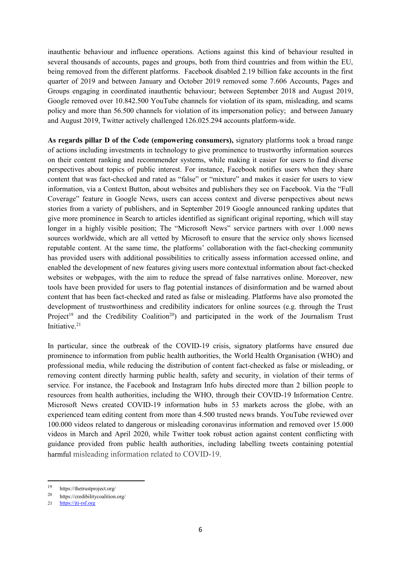inauthentic behaviour and influence operations. Actions against this kind of behaviour resulted in several thousands of accounts, pages and groups, both from third countries and from within the EU, being removed from the different platforms. Facebook disabled 2.19 billion fake accounts in the first quarter of 2019 and between January and October 2019 removed some 7.606 Accounts, Pages and Groups engaging in coordinated inauthentic behaviour; between September 2018 and August 2019, Google removed over 10.842.500 YouTube channels for violation of its spam, misleading, and scams policy and more than 56.500 channels for violation of its impersonation policy; and between January and August 2019, Twitter actively challenged 126.025.294 accounts platform-wide.

**As regards pillar D of the Code (empowering consumers),** signatory platforms took a broad range of actions including investments in technology to give prominence to trustworthy information sources on their content ranking and recommender systems, while making it easier for users to find diverse perspectives about topics of public interest. For instance, Facebook notifies users when they share content that was fact-checked and rated as "false" or "mixture" and makes it easier for users to view information, via a Context Button, about websites and publishers they see on Facebook. Via the "Full Coverage" feature in Google News, users can access context and diverse perspectives about news stories from a variety of publishers, and in September 2019 Google announced ranking updates that give more prominence in Search to articles identified as significant original reporting, which will stay longer in a highly visible position; The "Microsoft News" service partners with over 1.000 news sources worldwide, which are all vetted by Microsoft to ensure that the service only shows licensed reputable content. At the same time, the platforms' collaboration with the fact-checking community has provided users with additional possibilities to critically assess information accessed online, and enabled the development of new features giving users more contextual information about fact-checked websites or webpages, with the aim to reduce the spread of false narratives online. Moreover, new tools have been provided for users to flag potential instances of disinformation and be warned about content that has been fact-checked and rated as false or misleading. Platforms have also promoted the development of trustworthiness and credibility indicators for online sources (e.g. through the Trust Project<sup>19</sup> and the Credibility Coalition<sup>20</sup>) and participated in the work of the Journalism Trust Initiative. 21

In particular, since the outbreak of the COVID-19 crisis, signatory platforms have ensured due prominence to information from public health authorities, the World Health Organisation (WHO) and professional media, while reducing the distribution of content fact-checked as false or misleading, or removing content directly harming public health, safety and security, in violation of their terms of service. For instance, the Facebook and Instagram Info hubs directed more than 2 billion people to resources from health authorities, including the WHO, through their COVID-19 Information Centre. Microsoft News created COVID-19 information hubs in 53 markets across the globe, with an experienced team editing content from more than 4.500 trusted news brands. YouTube reviewed over 100.000 videos related to dangerous or misleading coronavirus information and removed over 15.000 videos in March and April 2020, while Twitter took robust action against content conflicting with guidance provided from public health authorities, including labelling tweets containing potential harmful misleading information related to COVID-19.

<sup>19</sup> https://thetrustproject.org/

<sup>20</sup> https://credibilitycoalition.org/

<sup>21</sup> [https://jti-rsf.org](https://jti-rsf.org/en/#!top)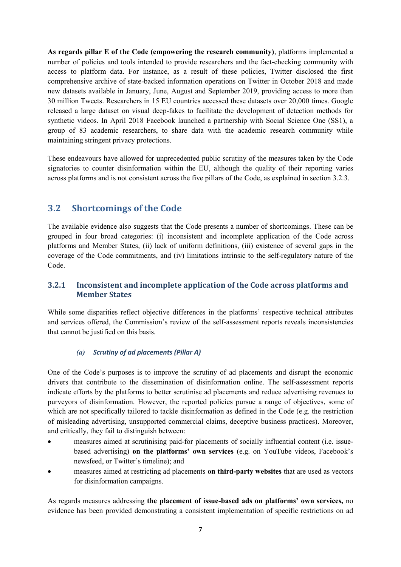**As regards pillar E of the Code (empowering the research community)**, platforms implemented a number of policies and tools intended to provide researchers and the fact-checking community with access to platform data. For instance, as a result of these policies, Twitter disclosed the first comprehensive archive of state-backed information operations on Twitter in October 2018 and made new datasets available in January, June, August and September 2019, providing access to more than 30 million Tweets. Researchers in 15 EU countries accessed these datasets over 20,000 times. Google released a large dataset on visual deep-fakes to facilitate the development of detection methods for synthetic videos. In April 2018 Facebook launched a partnership with Social Science One (SS1), a group of 83 academic researchers, to share data with the academic research community while maintaining stringent privacy protections.

These endeavours have allowed for unprecedented public scrutiny of the measures taken by the Code signatories to counter disinformation within the EU, although the quality of their reporting varies across platforms and is not consistent across the five pillars of the Code, as explained in section 3.2.3.

## <span id="page-7-0"></span>**3.2 Shortcomings of the Code**

The available evidence also suggests that the Code presents a number of shortcomings. These can be grouped in four broad categories: (i) inconsistent and incomplete application of the Code across platforms and Member States, (ii) lack of uniform definitions, (iii) existence of several gaps in the coverage of the Code commitments, and (iv) limitations intrinsic to the self-regulatory nature of the Code.

#### **3.2.1 Inconsistent and incomplete application of the Code across platforms and Member States**

While some disparities reflect objective differences in the platforms' respective technical attributes and services offered, the Commission's review of the self-assessment reports reveals inconsistencies that cannot be justified on this basis.

#### *(a) Scrutiny of ad placements (Pillar A)*

One of the Code's purposes is to improve the scrutiny of ad placements and disrupt the economic drivers that contribute to the dissemination of disinformation online. The self-assessment reports indicate efforts by the platforms to better scrutinise ad placements and reduce advertising revenues to purveyors of disinformation. However, the reported policies pursue a range of objectives, some of which are not specifically tailored to tackle disinformation as defined in the Code (e.g. the restriction of misleading advertising, unsupported commercial claims, deceptive business practices). Moreover, and critically, they fail to distinguish between:

- measures aimed at scrutinising paid-for placements of socially influential content (i.e. issuebased advertising) **on the platforms' own services** (e.g. on YouTube videos, Facebook's newsfeed, or Twitter's timeline); and
- measures aimed at restricting ad placements **on third-party websites** that are used as vectors for disinformation campaigns.

As regards measures addressing **the placement of issue-based ads on platforms' own services,** no evidence has been provided demonstrating a consistent implementation of specific restrictions on ad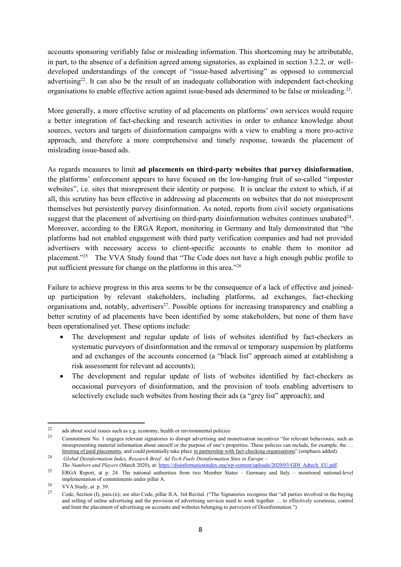accounts sponsoring verifiably false or misleading information. This shortcoming may be attributable, in part, to the absence of a definition agreed among signatories, as explained in section 3.2.2, or welldeveloped understandings of the concept of "issue-based advertising" as opposed to commercial advertising<sup>22</sup>. It can also be the result of an inadequate collaboration with independent fact-checking organisations to enable effective action against issue-based ads determined to be false or misleading.<sup>23</sup>.

More generally, a more effective scrutiny of ad placements on platforms' own services would require a better integration of fact-checking and research activities in order to enhance knowledge about sources, vectors and targets of disinformation campaigns with a view to enabling a more pro-active approach, and therefore a more comprehensive and timely response, towards the placement of misleading issue-based ads.

As regards measures to limit **ad placements on third-party websites that purvey disinformation**, the platforms' enforcement appears to have focused on the low-hanging fruit of so-called "imposter websites", i.e. sites that misrepresent their identity or purpose. It is unclear the extent to which, if at all, this scrutiny has been effective in addressing ad placements on websites that do not misrepresent themselves but persistently purvey disinformation. As noted, reports from civil society organisations suggest that the placement of advertising on third-party disinformation websites continues unabated $24$ . Moreover, according to the ERGA Report, monitoring in Germany and Italy demonstrated that "the platforms had not enabled engagement with third party verification companies and had not provided advertisers with necessary access to client-specific accounts to enable them to monitor ad placement."<sup>25</sup> The VVA Study found that "The Code does not have a high enough public profile to put sufficient pressure for change on the platforms in this area."<sup>26</sup>

Failure to achieve progress in this area seems to be the consequence of a lack of effective and joinedup participation by relevant stakeholders, including platforms, ad exchanges, fact-checking organisations and, notably, advertisers<sup>27</sup>. Possible options for increasing transparency and enabling a better scrutiny of ad placements have been identified by some stakeholders, but none of them have been operationalised yet. These options include:

- The development and regular update of lists of websites identified by fact-checkers as systematic purveyors of disinformation and the removal or temporary suspension by platforms and ad exchanges of the accounts concerned (a "black list" approach aimed at establishing a risk assessment for relevant ad accounts);
- The development and regular update of lists of websites identified by fact-checkers as occasional purveyors of disinformation, and the provision of tools enabling advertisers to selectively exclude such websites from hosting their ads (a "grey list" approach); and

 $22$  $^{22}$  ads about social issues such as e.g. economy, health or environmental policies

<sup>23</sup> Commitment No. 1 engages relevant signatories to disrupt advertising and monetisation incentives "for relevant behaviours, such as misrepresenting material information about oneself or the purpose of one's properties. These policies can include, for example, the … limiting of paid placements, and could potentially take place in partnership with fact-checking organisations" (emphasis added). <sup>24</sup> *Global Disinformation Index, Research Brief: Ad Tech Fuels Disinformation Sites in Europe –*

*The Numbers and Players* (March 2020), at[: https://disinformationindex.org/wp-content/uploads/2020/03/GDI\\_Adtech\\_EU.pdf.](https://disinformationindex.org/wp-content/uploads/2020/03/GDI_Adtech_EU.pdf)

<sup>25</sup> ERGA Report, at p. 24. The national authorities from two Member States – Germany and Italy – monitored national-level implementation of commitments under pillar A.

 $\frac{26}{27}$  VVA Study, at p. 39.

<sup>27</sup> Code, Section (I), para.(ii); see also Code, pillar II.A, 3rd Recital. ("The Signatories recognise that "all parties involved in the buying and selling of online advertising and the provision of advertising services need to work together … to effectively scrutinise, control and limit the placement of advertising on accounts and websites belonging to purveyors of Disinformation.")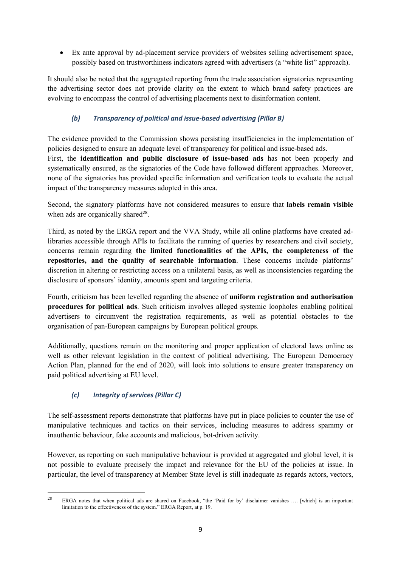• Ex ante approval by ad-placement service providers of websites selling advertisement space, possibly based on trustworthiness indicators agreed with advertisers (a "white list" approach).

It should also be noted that the aggregated reporting from the trade association signatories representing the advertising sector does not provide clarity on the extent to which brand safety practices are evolving to encompass the control of advertising placements next to disinformation content.

#### *(b) Transparency of political and issue-based advertising (Pillar B)*

The evidence provided to the Commission shows persisting insufficiencies in the implementation of policies designed to ensure an adequate level of transparency for political and issue-based ads.

First, the **identification and public disclosure of issue-based ads** has not been properly and systematically ensured, as the signatories of the Code have followed different approaches. Moreover, none of the signatories has provided specific information and verification tools to evaluate the actual impact of the transparency measures adopted in this area.

Second, the signatory platforms have not considered measures to ensure that **labels remain visible** when ads are organically shared<sup>28</sup>.

Third, as noted by the ERGA report and the VVA Study, while all online platforms have created adlibraries accessible through APIs to facilitate the running of queries by researchers and civil society, concerns remain regarding **the limited functionalities of the APIs, the completeness of the repositories, and the quality of searchable information**. These concerns include platforms' discretion in altering or restricting access on a unilateral basis, as well as inconsistencies regarding the disclosure of sponsors' identity, amounts spent and targeting criteria.

Fourth, criticism has been levelled regarding the absence of **uniform registration and authorisation procedures for political ads**. Such criticism involves alleged systemic loopholes enabling political advertisers to circumvent the registration requirements, as well as potential obstacles to the organisation of pan-European campaigns by European political groups.

Additionally, questions remain on the monitoring and proper application of electoral laws online as well as other relevant legislation in the context of political advertising. The European Democracy Action Plan, planned for the end of 2020, will look into solutions to ensure greater transparency on paid political advertising at EU level.

### *(c) Integrity of services (Pillar C)*

The self-assessment reports demonstrate that platforms have put in place policies to counter the use of manipulative techniques and tactics on their services, including measures to address spammy or inauthentic behaviour, fake accounts and malicious, bot-driven activity.

However, as reporting on such manipulative behaviour is provided at aggregated and global level, it is not possible to evaluate precisely the impact and relevance for the EU of the policies at issue. In particular, the level of transparency at Member State level is still inadequate as regards actors, vectors,

<sup>28</sup> ERGA notes that when political ads are shared on Facebook, "the 'Paid for by' disclaimer vanishes .... [which] is an important limitation to the effectiveness of the system." ERGA Report, at p. 19.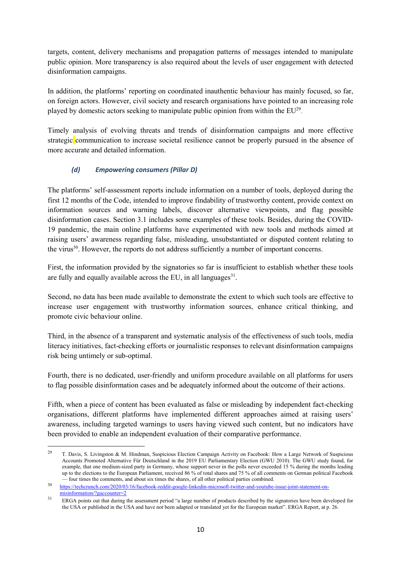targets, content, delivery mechanisms and propagation patterns of messages intended to manipulate public opinion. More transparency is also required about the levels of user engagement with detected disinformation campaigns.

In addition, the platforms' reporting on coordinated inauthentic behaviour has mainly focused, so far, on foreign actors. However, civil society and research organisations have pointed to an increasing role played by domestic actors seeking to manipulate public opinion from within the  $EU^{29}$ .

Timely analysis of evolving threats and trends of disinformation campaigns and more effective strategic communication to increase societal resilience cannot be properly pursued in the absence of more accurate and detailed information.

#### *(d) Empowering consumers (Pillar D)*

The platforms' self-assessment reports include information on a number of tools, deployed during the first 12 months of the Code, intended to improve findability of trustworthy content, provide context on information sources and warning labels, discover alternative viewpoints, and flag possible disinformation cases. Section 3.1 includes some examples of these tools. Besides, during the COVID-19 pandemic, the main online platforms have experimented with new tools and methods aimed at raising users' awareness regarding false, misleading, unsubstantiated or disputed content relating to the virus<sup>30</sup>. However, the reports do not address sufficiently a number of important concerns.

First, the information provided by the signatories so far is insufficient to establish whether these tools are fully and equally available across the EU, in all languages $31$ .

Second, no data has been made available to demonstrate the extent to which such tools are effective to increase user engagement with trustworthy information sources, enhance critical thinking, and promote civic behaviour online.

Third, in the absence of a transparent and systematic analysis of the effectiveness of such tools, media literacy initiatives, fact-checking efforts or journalistic responses to relevant disinformation campaigns risk being untimely or sub-optimal.

Fourth, there is no dedicated, user-friendly and uniform procedure available on all platforms for users to flag possible disinformation cases and be adequately informed about the outcome of their actions.

Fifth, when a piece of content has been evaluated as false or misleading by independent fact-checking organisations, different platforms have implemented different approaches aimed at raising users' awareness, including targeted warnings to users having viewed such content, but no indicators have been provided to enable an independent evaluation of their comparative performance.

 $29$ <sup>29</sup> T. Davis, S. Livingston & M. Hindman, Suspicious Election Campaign Activity on Facebook: How a Large Network of Suspicious Accounts Promoted Alternative Für Deutschland in the 2019 EU Parliamentary Election (GWU 2010). The GWU study found, for example, that one medium-sized party in Germany, whose support never in the polls never exceeded 15 % during the months leading up to the elections to the European Parliament, received 86 % of total shares and 75 % of all comments on German political Facebook — four times the comments, and about six times the shares, of all other political parties combined.

<sup>30</sup> [https://techcrunch.com/2020/03/16/facebook-reddit-google-linkedin-microsoft-twitter-and-youtube-issue-joint-statement-on](https://techcrunch.com/2020/03/16/facebook-reddit-google-linkedin-microsoft-twitter-and-youtube-issue-joint-statement-on-misinformation/?guccounter=2)[misinformation/?guccounter=2](https://techcrunch.com/2020/03/16/facebook-reddit-google-linkedin-microsoft-twitter-and-youtube-issue-joint-statement-on-misinformation/?guccounter=2)

<sup>&</sup>lt;sup>31</sup> ERGA points out that during the assessment period "a large number of products described by the signatories have been developed for the USA or published in the USA and have not been adapted or translated yet for the European market". ERGA Report, at p. 26.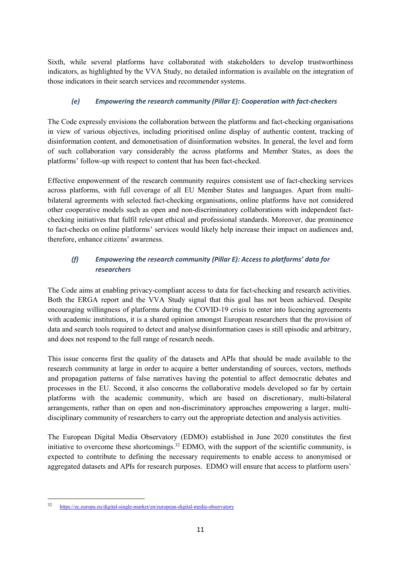Sixth, while several platforms have collaborated with stakeholders to develop trustworthiness indicators, as highlighted by the VVA Study, no detailed information is available on the integration of those indicators in their search services and recommender systems.

#### *(e) Empowering the research community (Pillar E): Cooperation with fact-checkers*

The Code expressly envisions the collaboration between the platforms and fact-checking organisations in view of various objectives, including prioritised online display of authentic content, tracking of disinformation content, and demonetisation of disinformation websites. In general, the level and form of such collaboration vary considerably the across platforms and Member States, as does the platforms' follow-up with respect to content that has been fact-checked.

Effective empowerment of the research community requires consistent use of fact-checking services across platforms, with full coverage of all EU Member States and languages. Apart from multibilateral agreements with selected fact-checking organisations, online platforms have not considered other cooperative models such as open and non-discriminatory collaborations with independent factchecking initiatives that fulfil relevant ethical and professional standards. Moreover, due prominence to fact-checks on online platforms' services would likely help increase their impact on audiences and, therefore, enhance citizens' awareness.

### *(f) Empowering the research community (Pillar E): Access to platforms' data for researchers*

The Code aims at enabling privacy-compliant access to data for fact-checking and research activities. Both the ERGA report and the VVA Study signal that this goal has not been achieved. Despite encouraging willingness of platforms during the COVID-19 crisis to enter into licencing agreements with academic institutions, it is a shared opinion amongst European researchers that the provision of data and search tools required to detect and analyse disinformation cases is still episodic and arbitrary, and does not respond to the full range of research needs.

This issue concerns first the quality of the datasets and APIs that should be made available to the research community at large in order to acquire a better understanding of sources, vectors, methods and propagation patterns of false narratives having the potential to affect democratic debates and processes in the EU. Second, it also concerns the collaborative models developed so far by certain platforms with the academic community, which are based on discretionary, multi-bilateral arrangements, rather than on open and non-discriminatory approaches empowering a larger, multidisciplinary community of researchers to carry out the appropriate detection and analysis activities.

The European Digital Media Observatory (EDMO) established in June 2020 constitutes the first initiative to overcome these shortcomings. <sup>32</sup> EDMO, with the support of the scientific community, is expected to contribute to defining the necessary requirements to enable access to anonymised or aggregated datasets and APIs for research purposes. EDMO will ensure that access to platform users'

<sup>32</sup> <https://ec.europa.eu/digital-single-market/en/european-digital-media-observatory>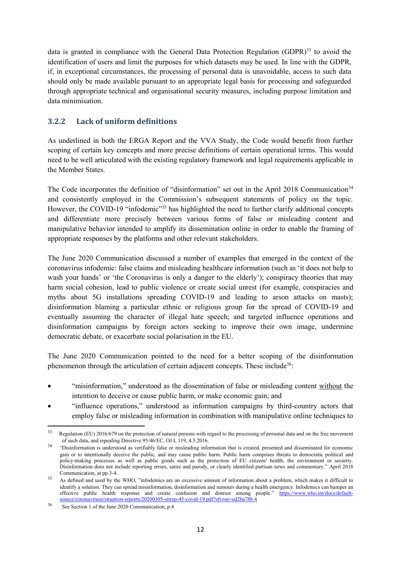data is granted in compliance with the General Data Protection Regulation  $(GDPR)^{33}$  to avoid the identification of users and limit the purposes for which datasets may be used. In line with the GDPR, if, in exceptional circumstances, the processing of personal data is unavoidable, access to such data should only be made available pursuant to an appropriate legal basis for processing and safeguarded through appropriate technical and organisational security measures, including purpose limitation and data minimisation.

#### **3.2.2 Lack of uniform definitions**

As underlined in both the ERGA Report and the VVA Study, the Code would benefit from further scoping of certain key concepts and more precise definitions of certain operational terms. This would need to be well articulated with the existing regulatory framework and legal requirements applicable in the Member States.

The Code incorporates the definition of "disinformation" set out in the April 2018 Communication<sup>34</sup> and consistently employed in the Commission's subsequent statements of policy on the topic. However, the COVID-19 "infodemic"<sup>35</sup> has highlighted the need to further clarify additional concepts and differentiate more precisely between various forms of false or misleading content and manipulative behavior intended to amplify its dissemination online in order to enable the framing of appropriate responses by the platforms and other relevant stakeholders.

The June 2020 Communication discussed a number of examples that emerged in the context of the coronavirus infodemic: false claims and misleading healthcare information (such as 'it does not help to wash your hands' or 'the Coronavirus is only a danger to the elderly'); conspiracy theories that may harm social cohesion, lead to public violence or create social unrest (for example, conspiracies and myths about 5G installations spreading COVID-19 and leading to arson attacks on masts); disinformation blaming a particular ethnic or religious group for the spread of COVID-19 and eventually assuming the character of illegal hate speech; and targeted influence operations and disinformation campaigns by foreign actors seeking to improve their own image, undermine democratic debate, or exacerbate social polarisation in the EU.

The June 2020 Communication pointed to the need for a better scoping of the disinformation phenomenon through the articulation of certain adjacent concepts. These include<sup>36</sup>:

- "misinformation," understood as the dissemination of false or misleading content without the intention to deceive or cause public harm, or make economic gain; and
- "influence operations," understood as information campaigns by third-country actors that employ false or misleading information in combination with manipulative online techniques to

<sup>33</sup> Regulation (EU) 2016/679 on the protection of natural persons with regard to the processing of personal data and on the free movement of such data, and repealing Directive 95/46/EC, OJ L 119, 4.5.2016.

<sup>&</sup>lt;sup>34</sup> "Disinformation is understood as verifiably false or misleading information that is created, presented and disseminated for economic gain or to intentionally deceive the public, and may cause public harm. Public harm comprises threats to democratic political and policy-making processes as well as public goods such as the protection of EU citizens' health, the environment or security. Disinformation does not include reporting errors, satire and parody, or clearly identified partisan news and commentary." April 2018 Communication, at pp.3-4.

<sup>&</sup>lt;sup>35</sup> As defined and used by the WHO, "infodemics are an excessive amount of information about a problem, which makes it difficult to identify a solution. They can spread misinformation, disinformation and rumours during a health emergency. Infodemics can hamper an effective public health response and create confusion and distrust among people." [https://www.who.int/docs/default](https://www.who.int/docs/default-source/coronaviruse/situation-reports/20200305-sitrep-45-covid-19.pdf?sfvrsn=ed2ba78b_4)[source/coronaviruse/situation-reports/20200305-sitrep-45-covid-19.pdf?sfvrsn=ed2ba78b 4](https://www.who.int/docs/default-source/coronaviruse/situation-reports/20200305-sitrep-45-covid-19.pdf?sfvrsn=ed2ba78b_4)

<sup>36</sup> See Section 1 of the June 2020 Communication, p.4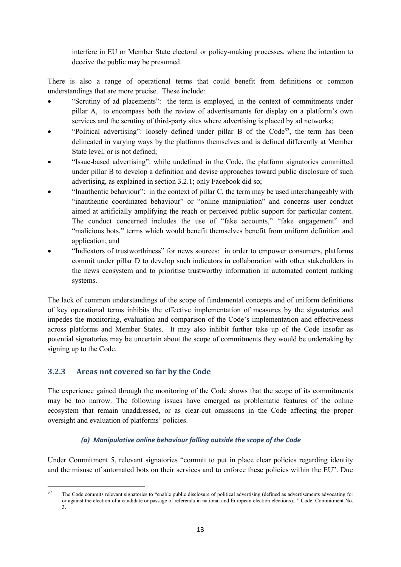interfere in EU or Member State electoral or policy-making processes, where the intention to deceive the public may be presumed.

There is also a range of operational terms that could benefit from definitions or common understandings that are more precise. These include:

- "Scrutiny of ad placements": the term is employed, in the context of commitments under pillar A, to encompass both the review of advertisements for display on a platform's own services and the scrutiny of third-party sites where advertising is placed by ad networks;
- "Political advertising": loosely defined under pillar B of the Code<sup>37</sup>, the term has been delineated in varying ways by the platforms themselves and is defined differently at Member State level, or is not defined;
- "Issue-based advertising": while undefined in the Code, the platform signatories committed under pillar B to develop a definition and devise approaches toward public disclosure of such advertising, as explained in section 3.2.1; only Facebook did so;
- "Inauthentic behaviour": in the context of pillar C, the term may be used interchangeably with "inauthentic coordinated behaviour" or "online manipulation" and concerns user conduct aimed at artificially amplifying the reach or perceived public support for particular content. The conduct concerned includes the use of "fake accounts," "fake engagement" and "malicious bots," terms which would benefit themselves benefit from uniform definition and application; and
- "Indicators of trustworthiness" for news sources: in order to empower consumers, platforms commit under pillar D to develop such indicators in collaboration with other stakeholders in the news ecosystem and to prioritise trustworthy information in automated content ranking systems.

The lack of common understandings of the scope of fundamental concepts and of uniform definitions of key operational terms inhibits the effective implementation of measures by the signatories and impedes the monitoring, evaluation and comparison of the Code's implementation and effectiveness across platforms and Member States. It may also inhibit further take up of the Code insofar as potential signatories may be uncertain about the scope of commitments they would be undertaking by signing up to the Code.

#### **3.2.3 Areas not covered so far by the Code**

The experience gained through the monitoring of the Code shows that the scope of its commitments may be too narrow. The following issues have emerged as problematic features of the online ecosystem that remain unaddressed, or as clear-cut omissions in the Code affecting the proper oversight and evaluation of platforms' policies.

#### *(a) Manipulative online behaviour falling outside the scope of the Code*

Under Commitment 5, relevant signatories "commit to put in place clear policies regarding identity and the misuse of automated bots on their services and to enforce these policies within the EU". Due

 $37$ The Code commits relevant signatories to "enable public disclosure of political advertising (defined as advertisements advocating for or against the election of a candidate or passage of referenda in national and European election elections)..." Code, Commitment No. 3.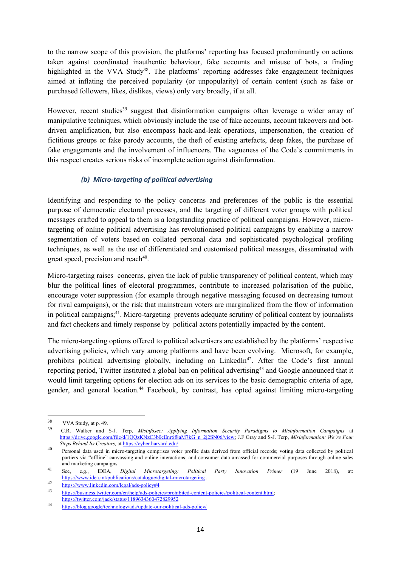to the narrow scope of this provision, the platforms' reporting has focused predominantly on actions taken against coordinated inauthentic behaviour, fake accounts and misuse of bots, a finding highlighted in the VVA Study<sup>38</sup>. The platforms' reporting addresses fake engagement techniques aimed at inflating the perceived popularity (or unpopularity) of certain content (such as fake or purchased followers, likes, dislikes, views) only very broadly, if at all.

However, recent studies<sup>39</sup> suggest that disinformation campaigns often leverage a wider array of manipulative techniques, which obviously include the use of fake accounts, account takeovers and botdriven amplification, but also encompass hack-and-leak operations, impersonation, the creation of fictitious groups or fake parody accounts, the theft of existing artefacts, deep fakes, the purchase of fake engagements and the involvement of influencers. The vagueness of the Code's commitments in this respect creates serious risks of incomplete action against disinformation.

#### *(b) Micro-targeting of political advertising*

Identifying and responding to the policy concerns and preferences of the public is the essential purpose of democratic electoral processes, and the targeting of different voter groups with political messages crafted to appeal to them is a longstanding practice of political campaigns. However, microtargeting of online political advertising has revolutionised political campaigns by enabling a narrow segmentation of voters based on collated personal data and sophisticated psychological profiling techniques, as well as the use of differentiated and customised political messages, disseminated with great speed, precision and reach<sup>40</sup>.

Micro-targeting raises concerns, given the lack of public transparency of political content, which may blur the political lines of electoral programmes, contribute to increased polarisation of the public, encourage voter suppression (for example through negative messaging focused on decreasing turnout for rival campaigns), or the risk that mainstream voters are marginalized from the flow of information in political campaigns;<sup>41</sup>. Micro-targeting prevents adequate scrutiny of political content by journalists and fact checkers and timely response by political actors potentially impacted by the content.

The micro-targeting options offered to political advertisers are established by the platforms' respective advertising policies, which vary among platforms and have been evolving. Microsoft, for example, prohibits political advertising globally, including on LinkedIn<sup>42</sup>. After the Code's first annual reporting period, Twitter instituted a global ban on political advertising<sup>43</sup> and Google announced that it would limit targeting options for election ads on its services to the basic demographic criteria of age, gender, and general location.<sup>44</sup> Facebook, by contrast, has opted against limiting micro-targeting

<sup>38</sup> VVA Study, at p. 49.

<sup>39</sup> C.R. Walker and S-J. Terp, *Misinfosec: Applying Information Security Paradigms to Misinformation Campaigns* at [https://drive.google.com/file/d/1QQzKNzC3b0cEnr6f8aM7kG\\_n\\_2j2SN06/view;](https://drive.google.com/file/d/1QQzKNzC3b0cEnr6f8aM7kG_n_2j2SN06/view) J.F Gray and S-J. Terp, *Misinformation: We're Four Steps Behind Its Creators,* a[t https://cyber.harvard.edu/](https://cyber.harvard.edu/)

<sup>&</sup>lt;sup>40</sup> Personal data used in micro-targeting comprises voter profile data derived from official records; voting data collected by political partiers via "offline" canvassing and online interactions; and consumer data amassed for commercial purposes through online sales and marketing campaigns.

<sup>41</sup> See, e.g., IDEA, *Digital Microtargeting: Political Party Innovation Primer* (19 June 2018), at: <https://www.idea.int/publications/catalogue/digital-microtargeting> .

<sup>42</sup> <https://www.linkedin.com/legal/ads-policy#4><br>43 https://business.tuitter.com/on/help/eds.nelig

[https://business.twitter.com/en/help/ads-policies/prohibited-content-policies/political-content.html;](https://business.twitter.com/en/help/ads-policies/prohibited-content-policies/political-content.html) <https://twitter.com/jack/status/1189634360472829952>

<sup>44</sup> <https://blog.google/technology/ads/update-our-political-ads-policy/>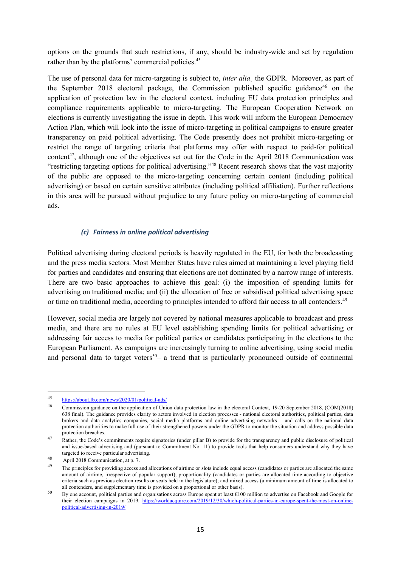options on the grounds that such restrictions, if any, should be industry-wide and set by regulation rather than by the platforms' commercial policies.<sup>45</sup>

The use of personal data for micro-targeting is subject to, *inter alia*, the GDPR. Moreover, as part of the September 2018 electoral package, the Commission published specific guidance<sup>46</sup> on the application of protection law in the electoral context, including EU data protection principles and compliance requirements applicable to micro-targeting. The European Cooperation Network on elections is currently investigating the issue in depth. This work will inform the European Democracy Action Plan, which will look into the issue of micro-targeting in political campaigns to ensure greater transparency on paid political advertising. The Code presently does not prohibit micro-targeting or restrict the range of targeting criteria that platforms may offer with respect to paid-for political content<sup>47</sup>, although one of the objectives set out for the Code in the April 2018 Communication was "restricting targeting options for political advertising."<sup>48</sup> Recent research shows that the vast majority of the public are opposed to the micro-targeting concerning certain content (including political advertising) or based on certain sensitive attributes (including political affiliation). Further reflections in this area will be pursued without prejudice to any future policy on micro-targeting of commercial ads.

#### *(c) Fairness in online political advertising*

Political advertising during electoral periods is heavily regulated in the EU, for both the broadcasting and the press media sectors. Most Member States have rules aimed at maintaining a level playing field for parties and candidates and ensuring that elections are not dominated by a narrow range of interests. There are two basic approaches to achieve this goal: (i) the imposition of spending limits for advertising on traditional media; and (ii) the allocation of free or subsidised political advertising space or time on traditional media, according to principles intended to afford fair access to all contenders.<sup>49</sup>

However, social media are largely not covered by national measures applicable to broadcast and press media, and there are no rules at EU level establishing spending limits for political advertising or addressing fair access to media for political parties or candidates participating in the elections to the European Parliament. As campaigns are increasingly turning to online advertising, using social media and personal data to target voters<sup>50</sup>– a trend that is particularly pronounced outside of continental

1

<sup>45</sup> <https://about.fb.com/news/2020/01/political-ads/>

<sup>46</sup> Commission guidance on the application of Union data protection law in the electoral Context, 19-20 September 2018, (COM(2018) 638 final). The guidance provides clarity to actors involved in election processes - national electoral authorities, political parties, data brokers and data analytics companies, social media platforms and online advertising networks – and calls on the national data protection authorities to make full use of their strengthened powers under the GDPR to monitor the situation and address possible data protection breaches.

<sup>&</sup>lt;sup>47</sup> Rather, the Code's commitments require signatories (under pillar B) to provide for the transparency and public disclosure of political and issue-based advertising and (pursuant to Commitment No. 11) to provide tools that help consumers understand why they have targeted to receive particular advertising.

<sup>48</sup> April 2018 Communication, at p. 7.

<sup>&</sup>lt;sup>49</sup> The principles for providing access and allocations of airtime or slots include equal access (candidates or parties are allocated the same amount of airtime, irrespective of popular support); proportionality (candidates or parties are allocated time according to objective criteria such as previous election results or seats held in the legislature); and mixed access (a minimum amount of time is allocated to all contenders, and supplementary time is provided on a proportional or other basis).

<sup>50</sup> By one account, political parties and organisations across Europe spent at least €100 million to advertise on Facebook and Google for their election campaigns in 2019. [https://worldacquire.com/2019/12/30/which-political-parties-in-europe-spent-the-most-on-online](https://worldacquire.com/2019/12/30/which-political-parties-in-europe-spent-the-most-on-online-political-advertising-in-2019/)[political-advertising-in-2019/](https://worldacquire.com/2019/12/30/which-political-parties-in-europe-spent-the-most-on-online-political-advertising-in-2019/)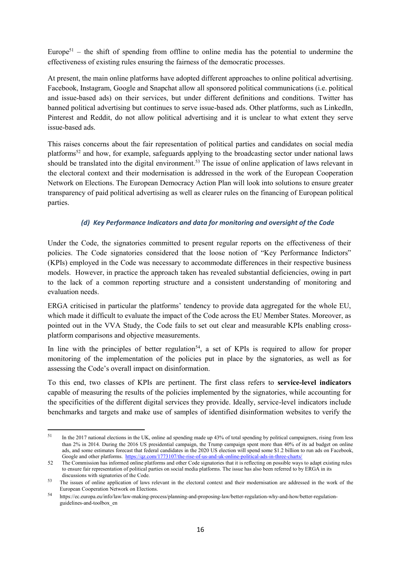Europe<sup>51</sup> – the shift of spending from offline to online media has the potential to undermine the effectiveness of existing rules ensuring the fairness of the democratic processes.

At present, the main online platforms have adopted different approaches to online political advertising. Facebook, Instagram, Google and Snapchat allow all sponsored political communications (i.e. political and issue-based ads) on their services, but under different definitions and conditions. Twitter has banned political advertising but continues to serve issue-based ads. Other platforms, such as LinkedIn, Pinterest and Reddit, do not allow political advertising and it is unclear to what extent they serve issue-based ads.

This raises concerns about the fair representation of political parties and candidates on social media platforms<sup>52</sup> and how, for example, safeguards applying to the broadcasting sector under national laws should be translated into the digital environment.<sup>53</sup> The issue of online application of laws relevant in the electoral context and their modernisation is addressed in the work of the European Cooperation Network on Elections. The European Democracy Action Plan will look into solutions to ensure greater transparency of paid political advertising as well as clearer rules on the financing of European political parties.

#### *(d) Key Performance Indicators and data for monitoring and oversight of the Code*

Under the Code, the signatories committed to present regular reports on the effectiveness of their policies. The Code signatories considered that the loose notion of "Key Performance Indictors" (KPIs) employed in the Code was necessary to accommodate differences in their respective business models. However, in practice the approach taken has revealed substantial deficiencies, owing in part to the lack of a common reporting structure and a consistent understanding of monitoring and evaluation needs.

ERGA criticised in particular the platforms' tendency to provide data aggregated for the whole EU, which made it difficult to evaluate the impact of the Code across the EU Member States. Moreover, as pointed out in the VVA Study, the Code fails to set out clear and measurable KPIs enabling crossplatform comparisons and objective measurements.

In line with the principles of better regulation<sup>54</sup>, a set of KPIs is required to allow for proper monitoring of the implementation of the policies put in place by the signatories, as well as for assessing the Code's overall impact on disinformation.

To this end, two classes of KPIs are pertinent. The first class refers to **service-level indicators** capable of measuring the results of the policies implemented by the signatories, while accounting for the specificities of the different digital services they provide. Ideally, service-level indicators include benchmarks and targets and make use of samples of identified disinformation websites to verify the

1

<sup>&</sup>lt;sup>51</sup> In the 2017 national elections in the UK, online ad spending made up 43% of total spending by political campaigners, rising from less than 2% in 2014. During the 2016 US presidential campaign, the Trump campaign spent more than 40% of its ad budget on online ads, and some estimates forecast that federal candidates in the 2020 US election will spend some \$1.2 billion to run ads on Facebook, Google and other platforms. <https://qz.com/1773107/the-rise-of-us-and-uk-online-political-ads-in-three-charts/>

<sup>52</sup> The Commission has informed online platforms and other Code signatories that it is reflecting on possible ways to adapt existing rules to ensure fair representation of political parties on social media platforms. The issue has also been referred to by ERGA in its discussions with signatories of the Code.

<sup>&</sup>lt;sup>53</sup> The issues of online application of laws relevant in the electoral context and their modernisation are addressed in the work of the European Cooperation Network on Elections.

<sup>54</sup> https://ec.europa.eu/info/law/law-making-process/planning-and-proposing-law/better-regulation-why-and-how/better-regulationguidelines-and-toolbox\_en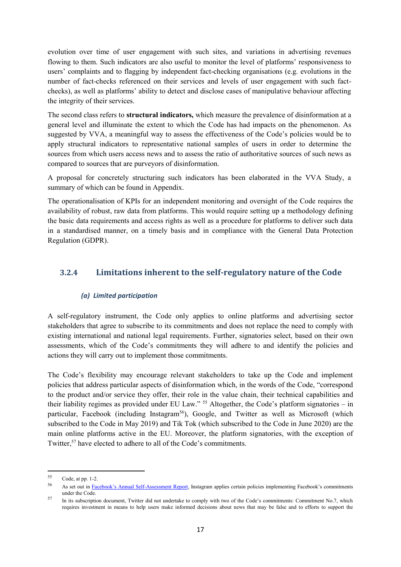evolution over time of user engagement with such sites, and variations in advertising revenues flowing to them. Such indicators are also useful to monitor the level of platforms' responsiveness to users' complaints and to flagging by independent fact-checking organisations (e.g. evolutions in the number of fact-checks referenced on their services and levels of user engagement with such factchecks), as well as platforms' ability to detect and disclose cases of manipulative behaviour affecting the integrity of their services.

The second class refers to **structural indicators,** which measure the prevalence of disinformation at a general level and illuminate the extent to which the Code has had impacts on the phenomenon. As suggested by VVA, a meaningful way to assess the effectiveness of the Code's policies would be to apply structural indicators to representative national samples of users in order to determine the sources from which users access news and to assess the ratio of authoritative sources of such news as compared to sources that are purveyors of disinformation.

A proposal for concretely structuring such indicators has been elaborated in the VVA Study, a summary of which can be found in Appendix.

The operationalisation of KPIs for an independent monitoring and oversight of the Code requires the availability of robust, raw data from platforms. This would require setting up a methodology defining the basic data requirements and access rights as well as a procedure for platforms to deliver such data in a standardised manner, on a timely basis and in compliance with the General Data Protection Regulation (GDPR).

#### **3.2.4 Limitations inherent to the self-regulatory nature of the Code**

#### *(a) Limited participation*

A self-regulatory instrument, the Code only applies to online platforms and advertising sector stakeholders that agree to subscribe to its commitments and does not replace the need to comply with existing international and national legal requirements. Further, signatories select, based on their own assessments, which of the Code's commitments they will adhere to and identify the policies and actions they will carry out to implement those commitments.

The Code's flexibility may encourage relevant stakeholders to take up the Code and implement policies that address particular aspects of disinformation which, in the words of the Code, "correspond to the product and/or service they offer, their role in the value chain, their technical capabilities and their liability regimes as provided under EU Law." <sup>55</sup> Altogether, the Code's platform signatories – in particular, Facebook (including Instagram<sup>56</sup>), Google, and Twitter as well as Microsoft (which subscribed to the Code in May 2019) and Tik Tok (which subscribed to the Code in June 2020) are the main online platforms active in the EU. Moreover, the platform signatories, with the exception of Twitter,<sup>57</sup> have elected to adhere to all of the Code's commitments.

 $\overline{a}$ 

<sup>55</sup> Code, at pp. 1-2.

<sup>56</sup> As set out in [Facebook's Annual Self](https://ec.europa.eu/newsroom/dae/document.cfm?doc_id=62681)-Assessment Report, Instagram applies certain policies implementing Facebook's commitments under the Code.

<sup>&</sup>lt;sup>57</sup> In its subscription document, Twitter did not undertake to comply with two of the Code's commitments: Commitment No.7, which requires investment in means to help users make informed decisions about news that may be false and to efforts to support the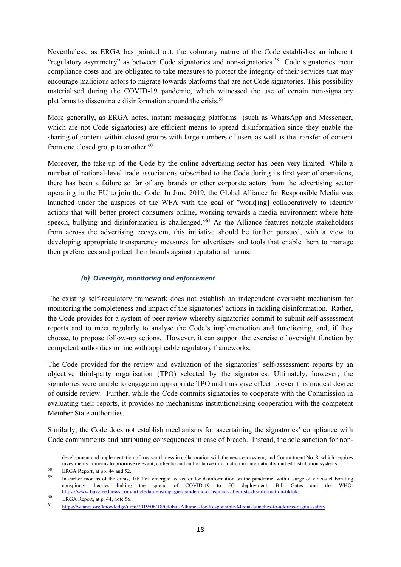Nevertheless, as ERGA has pointed out, the voluntary nature of the Code establishes an inherent "regulatory asymmetry" as between Code signatories and non-signatories.<sup>58</sup> Code signatories incur compliance costs and are obligated to take measures to protect the integrity of their services that may encourage malicious actors to migrate towards platforms that are not Code signatories. This possibility materialised during the COVID-19 pandemic, which witnessed the use of certain non-signatory platforms to disseminate disinformation around the crisis.<sup>59</sup>

More generally, as ERGA notes, instant messaging platforms (such as WhatsApp and Messenger, which are not Code signatories) are efficient means to spread disinformation since they enable the sharing of content within closed groups with large numbers of users as well as the transfer of content from one closed group to another. $60$ 

Moreover, the take-up of the Code by the online advertising sector has been very limited. While a number of national-level trade associations subscribed to the Code during its first year of operations, there has been a failure so far of any brands or other corporate actors from the advertising sector operating in the EU to join the Code. In June 2019, the Global Alliance for Responsible Media was launched under the auspices of the WFA with the goal of "work[ing] collaboratively to identify actions that will better protect consumers online, working towards a media environment where hate speech, bullying and disinformation is challenged."<sup>61</sup> As the Alliance features notable stakeholders from across the advertising ecosystem, this initiative should be further pursued, with a view to developing appropriate transparency measures for advertisers and tools that enable them to manage their preferences and protect their brands against reputational harms.

#### *(b) Oversight, monitoring and enforcement*

The existing self-regulatory framework does not establish an independent oversight mechanism for monitoring the completeness and impact of the signatories' actions in tackling disinformation. Rather, the Code provides for a system of peer review whereby signatories commit to submit self-assessment reports and to meet regularly to analyse the Code's implementation and functioning, and, if they choose, to propose follow-up actions. However, it can support the exercise of oversight function by competent authorities in line with applicable regulatory frameworks.

The Code provided for the review and evaluation of the signatories' self-assessment reports by an objective third-party organisation (TPO) selected by the signatories. Ultimately, however, the signatories were unable to engage an appropriate TPO and thus give effect to even this modest degree of outside review. Further, while the Code commits signatories to cooperate with the Commission in evaluating their reports, it provides no mechanisms institutionalising cooperation with the competent Member State authorities.

Similarly, the Code does not establish mechanisms for ascertaining the signatories' compliance with Code commitments and attributing consequences in case of breach. Instead, the sole sanction for non-

 $\overline{a}$ 

development and implementation of trustworthiness in collaboration with the news ecosystem; and Commitment No. 8, which requires investments in means to prioritise relevant, authentic and authoritative information in automatically ranked distribution systems.

<sup>58</sup> ERGA Report, at pp. 44 and 52.

<sup>&</sup>lt;sup>59</sup> In earlier months of the crisis, Tik Tok emerged as vector for disinformation on the pandemic, with a surge of videos elaborating conspiracy theories linking the spread of COVID-19 to 5G deployment, Bill Gates and the WHO. <https://www.buzzfeednews.com/article/laurenstrapagiel/pandemic-conspiracy-theorists-disinformation-tiktok>

<sup>60</sup> ERGA Report, at p. 44, note 56.

<sup>61</sup> <https://wfanet.org/knowledge/item/2019/06/18/Global-Alliance-for-Responsible-Media-launches-to-address-digital-safety>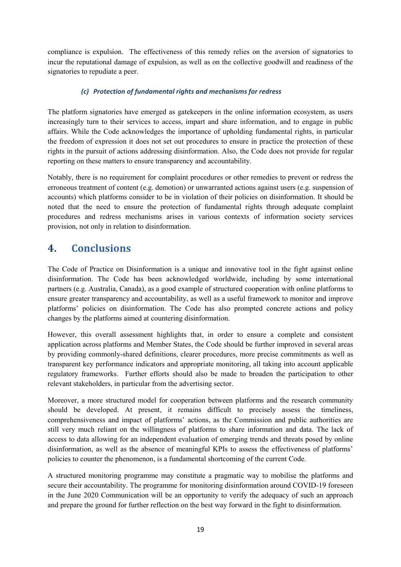compliance is expulsion. The effectiveness of this remedy relies on the aversion of signatories to incur the reputational damage of expulsion, as well as on the collective goodwill and readiness of the signatories to repudiate a peer.

#### *(c) Protection of fundamental rights and mechanisms for redress*

The platform signatories have emerged as gatekeepers in the online information ecosystem, as users increasingly turn to their services to access, impart and share information, and to engage in public affairs. While the Code acknowledges the importance of upholding fundamental rights, in particular the freedom of expression it does not set out procedures to ensure in practice the protection of these rights in the pursuit of actions addressing disinformation. Also, the Code does not provide for regular reporting on these matters to ensure transparency and accountability.

Notably, there is no requirement for complaint procedures or other remedies to prevent or redress the erroneous treatment of content (e.g. demotion) or unwarranted actions against users (e.g. suspension of accounts) which platforms consider to be in violation of their policies on disinformation. It should be noted that the need to ensure the protection of fundamental rights through adequate complaint procedures and redress mechanisms arises in various contexts of information society services provision, not only in relation to disinformation.

## <span id="page-19-0"></span>**4. Conclusions**

The Code of Practice on Disinformation is a unique and innovative tool in the fight against online disinformation. The Code has been acknowledged worldwide, including by some international partners (e.g. Australia, Canada), as a good example of structured cooperation with online platforms to ensure greater transparency and accountability, as well as a useful framework to monitor and improve platforms' policies on disinformation. The Code has also prompted concrete actions and policy changes by the platforms aimed at countering disinformation.

However, this overall assessment highlights that, in order to ensure a complete and consistent application across platforms and Member States, the Code should be further improved in several areas by providing commonly-shared definitions, clearer procedures, more precise commitments as well as transparent key performance indicators and appropriate monitoring, all taking into account applicable regulatory frameworks. Further efforts should also be made to broaden the participation to other relevant stakeholders, in particular from the advertising sector.

Moreover, a more structured model for cooperation between platforms and the research community should be developed. At present, it remains difficult to precisely assess the timeliness, comprehensiveness and impact of platforms' actions, as the Commission and public authorities are still very much reliant on the willingness of platforms to share information and data. The lack of access to data allowing for an independent evaluation of emerging trends and threats posed by online disinformation, as well as the absence of meaningful KPIs to assess the effectiveness of platforms' policies to counter the phenomenon, is a fundamental shortcoming of the current Code.

A structured monitoring programme may constitute a pragmatic way to mobilise the platforms and secure their accountability. The programme for monitoring disinformation around COVID-19 foreseen in the June 2020 Communication will be an opportunity to verify the adequacy of such an approach and prepare the ground for further reflection on the best way forward in the fight to disinformation.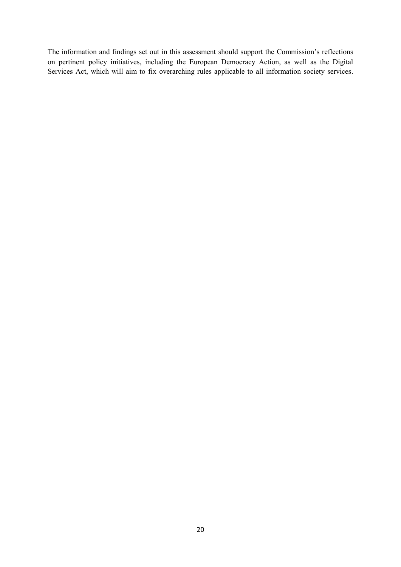The information and findings set out in this assessment should support the Commission's reflections on pertinent policy initiatives, including the European Democracy Action, as well as the Digital Services Act, which will aim to fix overarching rules applicable to all information society services.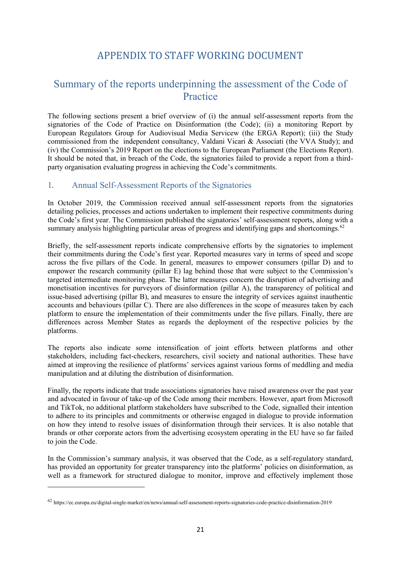## APPENDIX TO STAFF WORKING DOCUMENT

## <span id="page-21-1"></span><span id="page-21-0"></span>Summary of the reports underpinning the assessment of the Code of **Practice**

The following sections present a brief overview of (i) the annual self-assessment reports from the signatories of the Code of Practice on Disinformation (the Code); (ii) a monitoring Report by European Regulators Group for Audiovisual Media Servicew (the ERGA Report); (iii) the Study commissioned from the independent consultancy, Valdani Vicari & Associati (the VVA Study); and (iv) the Commission's 2019 Report on the elections to the European Parliament (the Elections Report). It should be noted that, in breach of the Code, the signatories failed to provide a report from a thirdparty organisation evaluating progress in achieving the Code's commitments.

#### <span id="page-21-2"></span>1. Annual Self-Assessment Reports of the Signatories

In October 2019, the Commission received annual self-assessment reports from the signatories detailing policies, processes and actions undertaken to implement their respective commitments during the Code's first year. The Commission published the signatories' self-assessment reports, along with a summary analysis highlighting particular areas of progress and identifying gaps and shortcomings. $62$ 

Briefly, the self-assessment reports indicate comprehensive efforts by the signatories to implement their commitments during the Code's first year. Reported measures vary in terms of speed and scope across the five pillars of the Code. In general, measures to empower consumers (pillar D) and to empower the research community (pillar E) lag behind those that were subject to the Commission's targeted intermediate monitoring phase. The latter measures concern the disruption of advertising and monetisation incentives for purveyors of disinformation (pillar A), the transparency of political and issue-based advertising (pillar B), and measures to ensure the integrity of services against inauthentic accounts and behaviours (pillar C). There are also differences in the scope of measures taken by each platform to ensure the implementation of their commitments under the five pillars. Finally, there are differences across Member States as regards the deployment of the respective policies by the platforms.

The reports also indicate some intensification of joint efforts between platforms and other stakeholders, including fact-checkers, researchers, civil society and national authorities. These have aimed at improving the resilience of platforms' services against various forms of meddling and media manipulation and at diluting the distribution of disinformation.

Finally, the reports indicate that trade associations signatories have raised awareness over the past year and advocated in favour of take-up of the Code among their members. However, apart from Microsoft and TikTok, no additional platform stakeholders have subscribed to the Code, signalled their intention to adhere to its principles and commitments or otherwise engaged in dialogue to provide information on how they intend to resolve issues of disinformation through their services. It is also notable that brands or other corporate actors from the advertising ecosystem operating in the EU have so far failed to join the Code.

In the Commission's summary analysis, it was observed that the Code, as a self-regulatory standard, has provided an opportunity for greater transparency into the platforms' policies on disinformation, as well as a framework for structured dialogue to monitor, improve and effectively implement those

1

<sup>62</sup> https://ec.europa.eu/digital-single-market/en/news/annual-self-assessment-reports-signatories-code-practice-disinformation-2019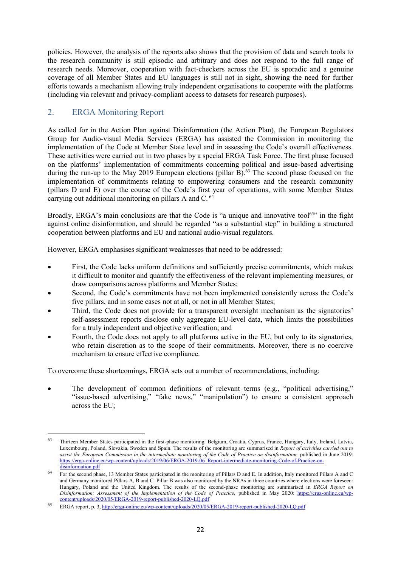policies. However, the analysis of the reports also shows that the provision of data and search tools to the research community is still episodic and arbitrary and does not respond to the full range of research needs. Moreover, cooperation with fact-checkers across the EU is sporadic and a genuine coverage of all Member States and EU languages is still not in sight, showing the need for further efforts towards a mechanism allowing truly independent organisations to cooperate with the platforms (including via relevant and privacy-compliant access to datasets for research purposes).

### <span id="page-22-0"></span>2. ERGA Monitoring Report

1

As called for in the Action Plan against Disinformation (the Action Plan), the European Regulators Group for Audio-visual Media Services (ERGA) has assisted the Commission in monitoring the implementation of the Code at Member State level and in assessing the Code's overall effectiveness. These activities were carried out in two phases by a special ERGA Task Force. The first phase focused on the platforms' implementation of commitments concerning political and issue-based advertising during the run-up to the May 2019 European elections (pillar B).<sup>63</sup> The second phase focused on the implementation of commitments relating to empowering consumers and the research community (pillars D and E) over the course of the Code's first year of operations, with some Member States carrying out additional monitoring on pillars A and C. <sup>64</sup>

Broadly, ERGA's main conclusions are that the Code is "a unique and innovative tool<sup>65</sup>" in the fight against online disinformation, and should be regarded "as a substantial step" in building a structured cooperation between platforms and EU and national audio-visual regulators.

However, ERGA emphasises significant weaknesses that need to be addressed:

- First, the Code lacks uniform definitions and sufficiently precise commitments, which makes it difficult to monitor and quantify the effectiveness of the relevant implementing measures, or draw comparisons across platforms and Member States;
- Second, the Code's commitments have not been implemented consistently across the Code's five pillars, and in some cases not at all, or not in all Member States;
- Third, the Code does not provide for a transparent oversight mechanism as the signatories' self-assessment reports disclose only aggregate EU-level data, which limits the possibilities for a truly independent and objective verification; and
- Fourth, the Code does not apply to all platforms active in the EU, but only to its signatories, who retain discretion as to the scope of their commitments. Moreover, there is no coercive mechanism to ensure effective compliance.

To overcome these shortcomings, ERGA sets out a number of recommendations, including:

The development of common definitions of relevant terms (e.g., "political advertising," "issue-based advertising," "fake news," "manipulation") to ensure a consistent approach across the EU;

<sup>63</sup> Thirteen Member States participated in the first-phase monitoring: Belgium, Croatia, Cyprus, France, Hungary, Italy, Ireland, Latvia, Luxembourg, Poland, Slovakia, Sweden and Spain. The results of the monitoring are summarised in *Report of activities carried out to assist the European Commission in the intermediate monitoring of the Code of Practice on disinformation,* published in June 2019: https://erga-online.eu/wp-content/uploads/2019/06/ERGA-2019-06\_Report-intermediate-monitoring-Code-of[disinformation.pdf](https://erga-online.eu/wp-content/uploads/2019/06/ERGA-2019-06_Report-intermediate-monitoring-Code-of-Practice-on-disinformation.pdf)

<sup>&</sup>lt;sup>64</sup> For the second phase, 13 Member States participated in the monitoring of Pillars D and E. In addition, Italy monitored Pillars A and C and Germany monitored Pillars A, B and C. Pillar B was also monitored by the NRAs in three countries where elections were foreseen: Hungary, Poland and the United Kingdom. The results of the second-phase monitoring are summarised in *ERGA Report on Disinformation: Assessment of the Implementation of the Code of Practice, published in May 2020: [https://erga-online.eu/wp](https://erga-online.eu/wp-content/uploads/2020/05/ERGA-2019-report-published-2020-LQ.pdf)*[content/uploads/2020/05/ERGA-2019-report-published-2020-LQ.pdf](https://erga-online.eu/wp-content/uploads/2020/05/ERGA-2019-report-published-2020-LQ.pdf)

<sup>65</sup> ERGA report, p. 3[, http://erga-online.eu/wp-content/uploads/2020/05/ERGA-2019-report-published-2020-LQ.pdf](http://erga-online.eu/wp-content/uploads/2020/05/ERGA-2019-report-published-2020-LQ.pdf)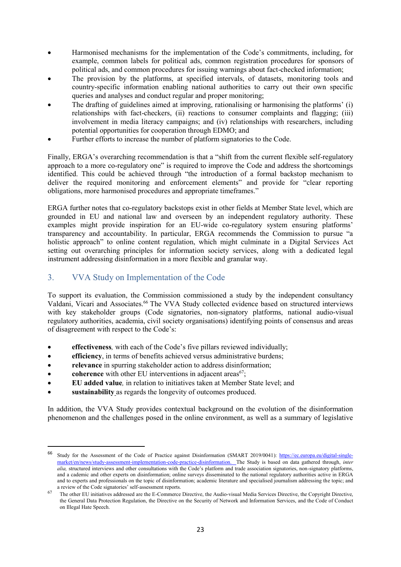- Harmonised mechanisms for the implementation of the Code's commitments, including, for example, common labels for political ads, common registration procedures for sponsors of political ads, and common procedures for issuing warnings about fact-checked information;
- The provision by the platforms, at specified intervals, of datasets, monitoring tools and country-specific information enabling national authorities to carry out their own specific queries and analyses and conduct regular and proper monitoring;
- The drafting of guidelines aimed at improving, rationalising or harmonising the platforms' (i) relationships with fact-checkers, (ii) reactions to consumer complaints and flagging; (iii) involvement in media literacy campaigns; and (iv) relationships with researchers, including potential opportunities for cooperation through EDMO; and
- Further efforts to increase the number of platform signatories to the Code.

Finally, ERGA's overarching recommendation is that a "shift from the current flexible self-regulatory approach to a more co-regulatory one" is required to improve the Code and address the shortcomings identified. This could be achieved through "the introduction of a formal backstop mechanism to deliver the required monitoring and enforcement elements" and provide for "clear reporting obligations, more harmonised procedures and appropriate timeframes."

ERGA further notes that co-regulatory backstops exist in other fields at Member State level, which are grounded in EU and national law and overseen by an independent regulatory authority. These examples might provide inspiration for an EU-wide co-regulatory system ensuring platforms' transparency and accountability. In particular, ERGA recommends the Commission to pursue "a holistic approach" to online content regulation, which might culminate in a Digital Services Act setting out overarching principles for information society services, along with a dedicated legal instrument addressing disinformation in a more flexible and granular way.

## <span id="page-23-0"></span>3. VVA Study on Implementation of the Code

To support its evaluation, the Commission commissioned a study by the independent consultancy Valdani, Vicari and Associates.<sup>66</sup> The VVA Study collected evidence based on structured interviews with key stakeholder groups (Code signatories, non-signatory platforms, national audio-visual regulatory authorities, academia, civil society organisations) identifying points of consensus and areas of disagreement with respect to the Code's:

- **effectiveness***,* with each of the Code's five pillars reviewed individually;
- **efficiency**, in terms of benefits achieved versus administrative burdens;
- **relevance** in spurring stakeholder action to address disinformation;
- **coherence** with other EU interventions in adjacent areas<sup>67</sup>;

1

- **EU added value***,* in relation to initiatives taken at Member State level; and
- sustainability as regards the longevity of outcomes produced.

In addition, the VVA Study provides contextual background on the evolution of the disinformation phenomenon and the challenges posed in the online environment, as well as a summary of legislative

<sup>66</sup> [Study for the Assessment of the Code of Practice against Disinformation \(SMART 2019/0041\)](https://ec.europa.eu/newsroom/dae/document.cfm?doc_id=66649): [https://ec.europa.eu/digital-single](https://ec.europa.eu/digital-single-market/en/news/study-assessment-implementation-code-practice-disinformation)[market/en/news/study-assessment-implementation-code-practice-disinformation.](https://ec.europa.eu/digital-single-market/en/news/study-assessment-implementation-code-practice-disinformation) The Study is based on data gathered through, *inter alia,* structured interviews and other consultations with the Code's platform and trade association signatories, non-signatory platforms, and a cademic and other experts on disinformation; online surveys disseminated to the national regulatory authorities active in ERGA and to experts and professionals on the topic of disinformation; academic literature and specialised journalism addressing the topic; and a review of the Code signatories' self-assessment reports.

<sup>&</sup>lt;sup>67</sup> The other EU initiatives addressed are the E-Commerce Directive, the Audio-visual Media Services Directive, the Copyright Directive, the General Data Protection Regulation, the Directive on the Security of Network and Information Services, and the Code of Conduct on Illegal Hate Speech.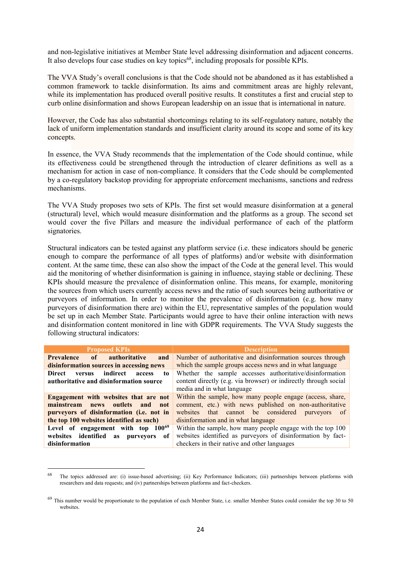and non-legislative initiatives at Member State level addressing disinformation and adjacent concerns. It also develops four case studies on key topics<sup>68</sup>, including proposals for possible KPIs.

The VVA Study's overall conclusions is that the Code should not be abandoned as it has established a common framework to tackle disinformation. Its aims and commitment areas are highly relevant, while its implementation has produced overall positive results. It constitutes a first and crucial step to curb online disinformation and shows European leadership on an issue that is international in nature.

However, the Code has also substantial shortcomings relating to its self-regulatory nature, notably the lack of uniform implementation standards and insufficient clarity around its scope and some of its key concepts.

In essence, the VVA Study recommends that the implementation of the Code should continue, while its effectiveness could be strengthened through the introduction of clearer definitions as well as a mechanism for action in case of non-compliance. It considers that the Code should be complemented by a co-regulatory backstop providing for appropriate enforcement mechanisms, sanctions and redress mechanisms.

The VVA Study proposes two sets of KPIs. The first set would measure disinformation at a general (structural) level, which would measure disinformation and the platforms as a group. The second set would cover the five Pillars and measure the individual performance of each of the platform signatories.

Structural indicators can be tested against any platform service (i.e. these indicators should be generic enough to compare the performance of all types of platforms) and/or website with disinformation content. At the same time, these can also show the impact of the Code at the general level. This would aid the monitoring of whether disinformation is gaining in influence, staying stable or declining. These KPIs should measure the prevalence of disinformation online. This means, for example, monitoring the sources from which users currently access news and the ratio of such sources being authoritative or purveyors of information. In order to monitor the prevalence of disinformation (e.g. how many purveyors of disinformation there are) within the EU, representative samples of the population would be set up in each Member State. Participants would agree to have their online interaction with news and disinformation content monitored in line with GDPR requirements. The VVA Study suggests the following structural indicators:

| <b>Proposed KPIs</b>                            | <b>Description</b>                                               |
|-------------------------------------------------|------------------------------------------------------------------|
| <b>Prevalence</b> of authoritative<br>and       | Number of authoritative and disinformation sources through       |
| disinformation sources in accessing news        | which the sample groups access news and in what language         |
| indirect<br>Direct<br>versus<br>to<br>access    | Whether the sample accesses authoritative/disinformation         |
| authoritative and disinformation source         | content directly (e.g. via browser) or indirectly through social |
|                                                 | media and in what language                                       |
| Engagement with websites that are not           | Within the sample, how many people engage (access, share,        |
| mainstream<br>outlets and<br><b>news</b><br>not | comment, etc.) with news published on non-authoritative          |
| purveyors of disinformation (i.e. not in        | websites that cannot be considered<br>purveyors<br>of            |
| the top 100 websites identified as such)        | disinformation and in what language                              |
| Level of engagement with top $100^{69}$         | Within the sample, how many people engage with the top 100       |
| websites identified<br>of<br>as<br>purveyors    | websites identified as purveyors of disinformation by fact-      |
| disinformation                                  | checkers in their native and other languages                     |

<sup>&</sup>lt;sup>68</sup> The topics addressed are: (i) issue-based advertising; (ii) Key Performance Indicators; (iii) partnerships between platforms with researchers and data requests; and (iv) partnerships between platforms and fact-checkers.

<sup>&</sup>lt;sup>69</sup> This number would be proportionate to the population of each Member State, i.e. smaller Member States could consider the top 30 to 50 websites.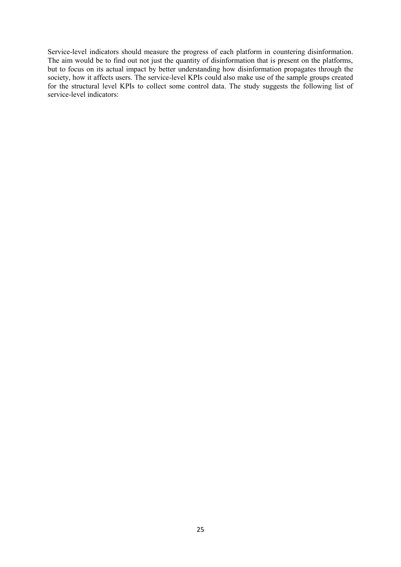Service-level indicators should measure the progress of each platform in countering disinformation. The aim would be to find out not just the quantity of disinformation that is present on the platforms, but to focus on its actual impact by better understanding how disinformation propagates through the society, how it affects users. The service-level KPIs could also make use of the sample groups created for the structural level KPIs to collect some control data. The study suggests the following list of service-level indicators: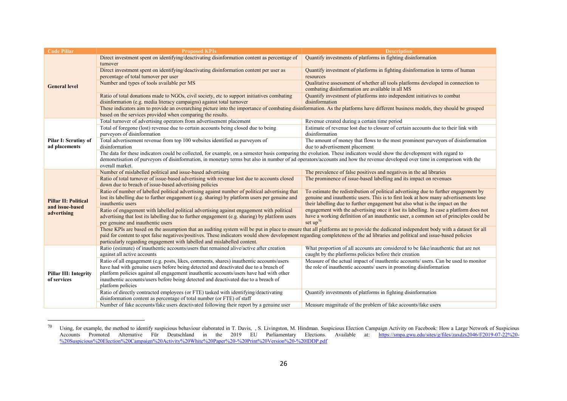| <b>Code Pillar</b>           | <b>Proposed KPIs</b>                                                                                                                                                                                                                                                                                                                                                                                                                               | <b>Description</b>                                                                                                                                                   |  |  |
|------------------------------|----------------------------------------------------------------------------------------------------------------------------------------------------------------------------------------------------------------------------------------------------------------------------------------------------------------------------------------------------------------------------------------------------------------------------------------------------|----------------------------------------------------------------------------------------------------------------------------------------------------------------------|--|--|
|                              | Direct investment spent on identifying/deactivating disinformation content as percentage of                                                                                                                                                                                                                                                                                                                                                        | Quantify investments of platforms in fighting disinformation                                                                                                         |  |  |
|                              | turnover                                                                                                                                                                                                                                                                                                                                                                                                                                           |                                                                                                                                                                      |  |  |
|                              | Direct investment spent on identifying/deactivating disinformation content per user as                                                                                                                                                                                                                                                                                                                                                             | Quantify investment of platforms in fighting disinformation in terms of human                                                                                        |  |  |
|                              | percentage of total turnover per user                                                                                                                                                                                                                                                                                                                                                                                                              | resources                                                                                                                                                            |  |  |
| <b>General level</b>         | Number and types of tools available per MS                                                                                                                                                                                                                                                                                                                                                                                                         | Qualitative assessment of whether all tools platforms developed in connection to                                                                                     |  |  |
|                              |                                                                                                                                                                                                                                                                                                                                                                                                                                                    | combating disinformation are available in all MS                                                                                                                     |  |  |
|                              | Ratio of total donations made to NGOs, civil society, etc to support initiatives combating                                                                                                                                                                                                                                                                                                                                                         | Quantify investment of platforms into independent initiatives to combat                                                                                              |  |  |
|                              | disinformation (e.g. media literacy campaigns) against total turnover                                                                                                                                                                                                                                                                                                                                                                              | disinformation                                                                                                                                                       |  |  |
|                              | These indicators aim to provide an overarching picture into the importance of combating disinformation. As the platforms have different business models, they should be grouped                                                                                                                                                                                                                                                                    |                                                                                                                                                                      |  |  |
|                              | based on the services provided when comparing the results.                                                                                                                                                                                                                                                                                                                                                                                         |                                                                                                                                                                      |  |  |
|                              | Total turnover of advertising operators from advertisement placement                                                                                                                                                                                                                                                                                                                                                                               | Revenue created during a certain time period                                                                                                                         |  |  |
|                              | Total of foregone (lost) revenue due to certain accounts being closed due to being                                                                                                                                                                                                                                                                                                                                                                 | Estimate of revenue lost due to closure of certain accounts due to their link with                                                                                   |  |  |
|                              | purveyors of disinformation                                                                                                                                                                                                                                                                                                                                                                                                                        | disinformation                                                                                                                                                       |  |  |
| Pilar I: Scrutiny of         | Total advertisement revenue from top 100 websites identified as purveyors of                                                                                                                                                                                                                                                                                                                                                                       | The amount of money that flows to the most prominent purveyors of disinformation                                                                                     |  |  |
| ad placements                | disinformation                                                                                                                                                                                                                                                                                                                                                                                                                                     | due to advertisement placement                                                                                                                                       |  |  |
|                              | The data for these indicators could be collected, for example, on a semester basis comparing the evolution. These indicators would show the development with regard to                                                                                                                                                                                                                                                                             |                                                                                                                                                                      |  |  |
|                              | demonetisation of purveyors of disinformation, in monetary terms but also in number of ad operators/accounts and how the revenue developed over time in comparison with the                                                                                                                                                                                                                                                                        |                                                                                                                                                                      |  |  |
|                              | overall market.                                                                                                                                                                                                                                                                                                                                                                                                                                    |                                                                                                                                                                      |  |  |
|                              | Number of mislabelled political and issue-based advertising                                                                                                                                                                                                                                                                                                                                                                                        | The prevalence of false positives and negatives in the ad libraries                                                                                                  |  |  |
|                              | Ratio of total turnover of issue-based advertising with revenue lost due to accounts closed                                                                                                                                                                                                                                                                                                                                                        | The prominence of issue-based labelling and its impact on revenues                                                                                                   |  |  |
|                              | down due to breach of issue-based advertising policies                                                                                                                                                                                                                                                                                                                                                                                             |                                                                                                                                                                      |  |  |
|                              | Ratio of number of labelled political advertising against number of political advertising that                                                                                                                                                                                                                                                                                                                                                     | To estimate the redistribution of political advertising due to further engagement by                                                                                 |  |  |
| <b>Pillar II: Political</b>  | lost its labelling due to further engagement (e.g. sharing) by platform users per genuine and<br>inauthentic users                                                                                                                                                                                                                                                                                                                                 | genuine and inauthentic users. This is to first look at how many advertisements lose<br>their labelling due to further engagement but also what is the impact on the |  |  |
| and issue-based              | Ratio of engagement with labelled political advertising against engagement with political                                                                                                                                                                                                                                                                                                                                                          | engagement with the advertising once it lost its labelling. In case a platform does not                                                                              |  |  |
| advertising                  | advertising that lost its labelling due to further engagement (e.g. sharing) by platform users                                                                                                                                                                                                                                                                                                                                                     | have a working definition of an inauthentic user, a common set of principles could be                                                                                |  |  |
|                              | per genuine and inauthentic users                                                                                                                                                                                                                                                                                                                                                                                                                  | set $up^{70}$                                                                                                                                                        |  |  |
|                              |                                                                                                                                                                                                                                                                                                                                                                                                                                                    |                                                                                                                                                                      |  |  |
|                              | These KPIs are based on the assumption that an auditing system will be put in place to ensure that all platforms are to provide the dedicated independent body with a dataset for all<br>paid for content to spot false negatives/positives. These indicators would show development regarding completeness of the ad libraries and political and issue-based policies<br>particularly regarding engagement with labelled and mislabelled content. |                                                                                                                                                                      |  |  |
|                              |                                                                                                                                                                                                                                                                                                                                                                                                                                                    |                                                                                                                                                                      |  |  |
|                              | Ratio (estimate) of inauthentic accounts/users that remained alive/active after creation                                                                                                                                                                                                                                                                                                                                                           | What proportion of all accounts are considered to be fake/inauthentic that are not                                                                                   |  |  |
|                              | against all active accounts                                                                                                                                                                                                                                                                                                                                                                                                                        | caught by the platforms policies before their creation                                                                                                               |  |  |
|                              | Ratio of all engagement (e.g. posts, likes, comments, shares) inauthentic accounts/users                                                                                                                                                                                                                                                                                                                                                           | Measure of the actual impact of inauthentic accounts/ users. Can be used to monitor                                                                                  |  |  |
|                              | have had with genuine users before being detected and deactivated due to a breach of                                                                                                                                                                                                                                                                                                                                                               | the role of inauthentic accounts/ users in promoting disinformation                                                                                                  |  |  |
| <b>Pillar III: Integrity</b> | platform policies against all engagement inauthentic accounts/users have had with other                                                                                                                                                                                                                                                                                                                                                            |                                                                                                                                                                      |  |  |
| of services                  | inauthentic accounts/users before being detected and deactivated due to a breach of                                                                                                                                                                                                                                                                                                                                                                |                                                                                                                                                                      |  |  |
|                              | platform policies                                                                                                                                                                                                                                                                                                                                                                                                                                  |                                                                                                                                                                      |  |  |
|                              | Ratio of directly contracted employees (or FTE) tasked with identifying/deactivating                                                                                                                                                                                                                                                                                                                                                               | Quantify investments of platforms in fighting disinformation                                                                                                         |  |  |
|                              | disinformation content as percentage of total number (or FTE) of staff                                                                                                                                                                                                                                                                                                                                                                             |                                                                                                                                                                      |  |  |
|                              | Number of fake accounts/fake users deactivated following their report by a genuine user                                                                                                                                                                                                                                                                                                                                                            | Measure magnitude of the problem of fake accounts/fake users                                                                                                         |  |  |

<sup>&</sup>lt;sup>70</sup> Using, for example, the method to identify suspicious behaviour elaborated in T. Davis, , S. Livingston, M. Hindman. Suspicious Election Campaign Activity on Facebook: How a Large Network of Suspicious Accounts Promoted Alternative Für Deutschland in the 2019 EU Parliamentary Elections. Available at: [https://smpa.gwu.edu/sites/g/files/zaxdzs2046/f/2019-07-22%20-](https://smpa.gwu.edu/sites/g/files/zaxdzs2046/f/2019-07-22%20-%20Suspicious%20Election%20Campaign%20Activity%20White%20Paper%20-%20Print%20Version%20-%20IDDP.pdf) [%20Suspicious%20Election%20Campaign%20Activity%20White%20Paper%20-%20Print%20Version%20-%20IDDP.pdf](https://smpa.gwu.edu/sites/g/files/zaxdzs2046/f/2019-07-22%20-%20Suspicious%20Election%20Campaign%20Activity%20White%20Paper%20-%20Print%20Version%20-%20IDDP.pdf)

 $\overline{a}$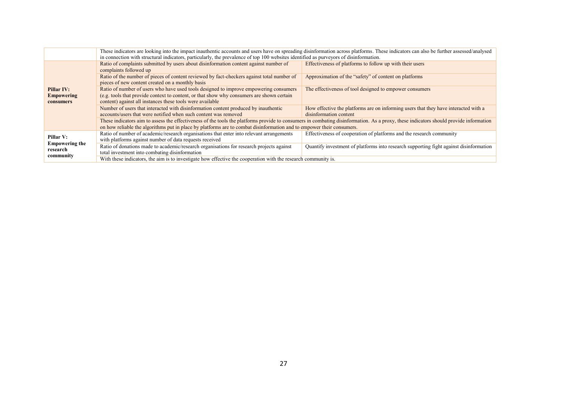|                                              | These indicators are looking into the impact inauthentic accounts and users have on spreading disinformation across platforms. These indicators can also be further assessed/analysed<br>in connection with structural indicators, particularly, the prevalence of top 100 websites identified as purveyors of disinformation. |                                                                                                               |  |  |
|----------------------------------------------|--------------------------------------------------------------------------------------------------------------------------------------------------------------------------------------------------------------------------------------------------------------------------------------------------------------------------------|---------------------------------------------------------------------------------------------------------------|--|--|
|                                              | Ratio of complaints submitted by users about disinformation content against number of<br>complaints followed up                                                                                                                                                                                                                | Effectiveness of platforms to follow up with their users                                                      |  |  |
|                                              | Ratio of the number of pieces of content reviewed by fact-checkers against total number of<br>pieces of new content created on a monthly basis                                                                                                                                                                                 | Approximation of the "safety" of content on platforms                                                         |  |  |
| Pillar IV:<br><b>Empowering</b><br>consumers | Ratio of number of users who have used tools designed to improve empowering consumers<br>(e.g. tools that provide context to content, or that show why consumers are shown certain<br>content) against all instances these tools were available                                                                                | The effectiveness of tool designed to empower consumers                                                       |  |  |
|                                              | Number of users that interacted with disinformation content produced by inauthentic<br>accounts/users that were notified when such content was removed                                                                                                                                                                         | How effective the platforms are on informing users that they have interacted with a<br>disinformation content |  |  |
|                                              | These indicators aim to assess the effectiveness of the tools the platforms provide to consumers in combating disinformation. As a proxy, these indicators should provide information<br>on how reliable the algorithms put in place by platforms are to combat disinformation and to empower their consumers.                 |                                                                                                               |  |  |
| Pillar V:                                    | Ratio of number of academic/research organisations that enter into relevant arrangements<br>with platforms against number of data requests received                                                                                                                                                                            | Effectiveness of cooperation of platforms and the research community                                          |  |  |
| <b>Empowering the</b><br>research            | Ratio of donations made to academic/research organisations for research projects against<br>total investment into combating disinformation                                                                                                                                                                                     | Quantify investment of platforms into research supporting fight against disinformation                        |  |  |
| community                                    | With these indicators, the aim is to investigate how effective the cooperation with the research community is.                                                                                                                                                                                                                 |                                                                                                               |  |  |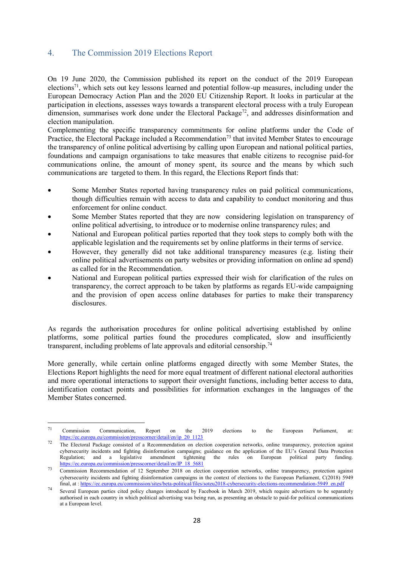#### <span id="page-28-0"></span>4. The Commission 2019 Elections Report

On 19 June 2020, the Commission published its report on the conduct of the 2019 European elections<sup>71</sup>, which sets out key lessons learned and potential follow-up measures, including under the European Democracy Action Plan and the 2020 EU Citizenship Report. It looks in particular at the participation in elections, assesses ways towards a transparent electoral process with a truly European dimension, summarises work done under the Electoral Package<sup>72</sup>, and addresses disinformation and election manipulation.

Complementing the specific transparency commitments for online platforms under the Code of Practice, the Electoral Package included a Recommendation<sup>73</sup> that invited Member States to encourage the transparency of online political advertising by calling upon European and national political parties, foundations and campaign organisations to take measures that enable citizens to recognise paid-for communications online, the amount of money spent, its source and the means by which such communications are targeted to them. In this regard, the Elections Report finds that:

- Some Member States reported having transparency rules on paid political communications, though difficulties remain with access to data and capability to conduct monitoring and thus enforcement for online conduct.
- Some Member States reported that they are now considering legislation on transparency of online political advertising, to introduce or to modernise online transparency rules; and
- National and European political parties reported that they took steps to comply both with the applicable legislation and the requirements set by online platforms in their terms of service.
- However, they generally did not take additional transparency measures (e.g. listing their online political advertisements on party websites or providing information on online ad spend) as called for in the Recommendation.
- National and European political parties expressed their wish for clarification of the rules on transparency, the correct approach to be taken by platforms as regards EU-wide campaigning and the provision of open access online databases for parties to make their transparency disclosures.

As regards the authorisation procedures for online political advertising established by online platforms, some political parties found the procedures complicated, slow and insufficiently transparent, including problems of late approvals and editorial censorship.<sup>74</sup>

More generally, while certain online platforms engaged directly with some Member States, the Elections Report highlights the need for more equal treatment of different national electoral authorities and more operational interactions to support their oversight functions, including better access to data, identification contact points and possibilities for information exchanges in the languages of the Member States concerned.

 $\overline{\phantom{a}}$ 

 $71$  Commission Communication, Report on the 2019 elections to the European Parliament, at: [https://ec.europa.eu/commission/presscorner/detail/en/ip\\_20\\_1123](https://ec.europa.eu/commission/presscorner/detail/en/ip_20_1123)

 $72$  The Electoral Package consisted of a Recommendation on election cooperation networks, online transparency, protection against cybersecurity incidents and fighting disinformation campaigns; guidance on the application of the EU's General Data Protection Regulation; and a legislative amendment tightening the rules on European political party fundin Regulation; and a legislative amendment tightening the rules on European political party funding. [https://ec.europa.eu/commission/presscorner/detail/en/IP\\_18\\_5681](https://ec.europa.eu/commission/presscorner/detail/en/IP_18_5681)

<sup>&</sup>lt;sup>73</sup> Commission Recommendation of 12 September 2018 on election cooperation networks, online transparency, protection against cybersecurity incidents and fighting disinformation campaigns in the context of elections to the European Parliament, C(2018) 5949 final, at [: https://ec.europa.eu/commission/sites/beta-political/files/soteu2018-cybersecurity-elections-recommendation-5949\\_en.pdf](https://ec.europa.eu/commission/sites/beta-political/files/soteu2018-cybersecurity-elections-recommendation-5949_en.pdf)

<sup>74</sup> Several European parties cited policy changes introduced by Facebook in March 2019, which require advertisers to be separately authorised in each country in which political advertising was being run, as presenting an obstacle to paid-for political communications at a European level.